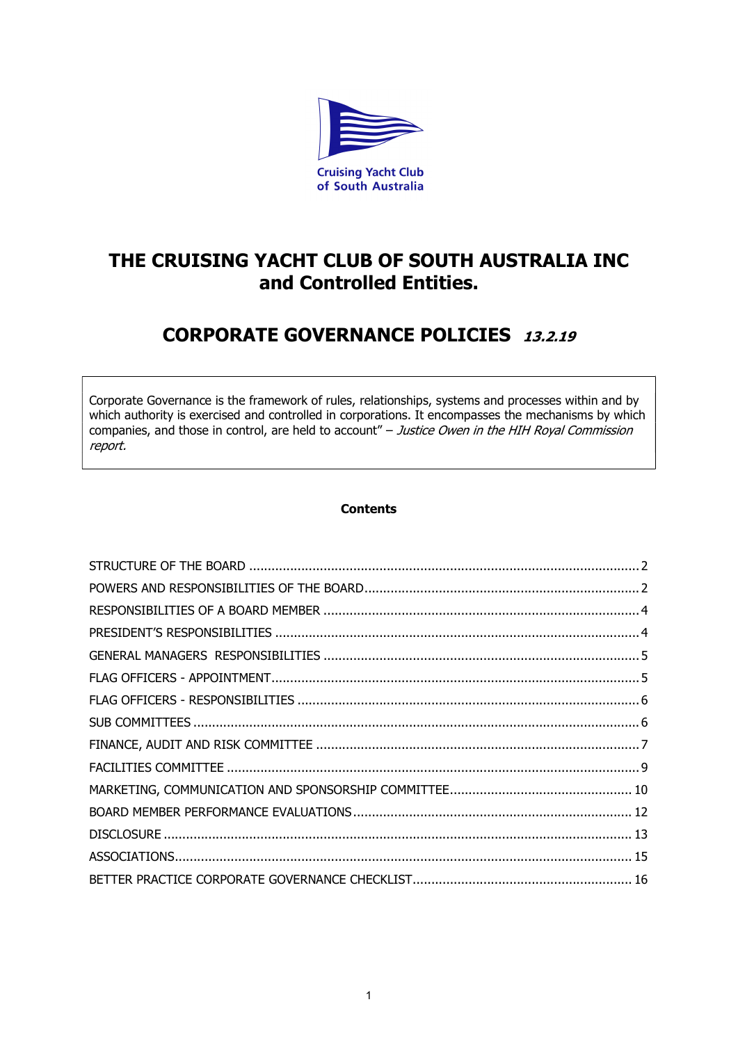

# THE CRUISING YACHT CLUB OF SOUTH AUSTRALIA INC and Controlled Entities.

# CORPORATE GOVERNANCE POLICIES 13.2.19

Corporate Governance is the framework of rules, relationships, systems and processes within and by which authority is exercised and controlled in corporations. It encompasses the mechanisms by which companies, and those in control, are held to account" – Justice Owen in the HIH Royal Commission report.

## **Contents**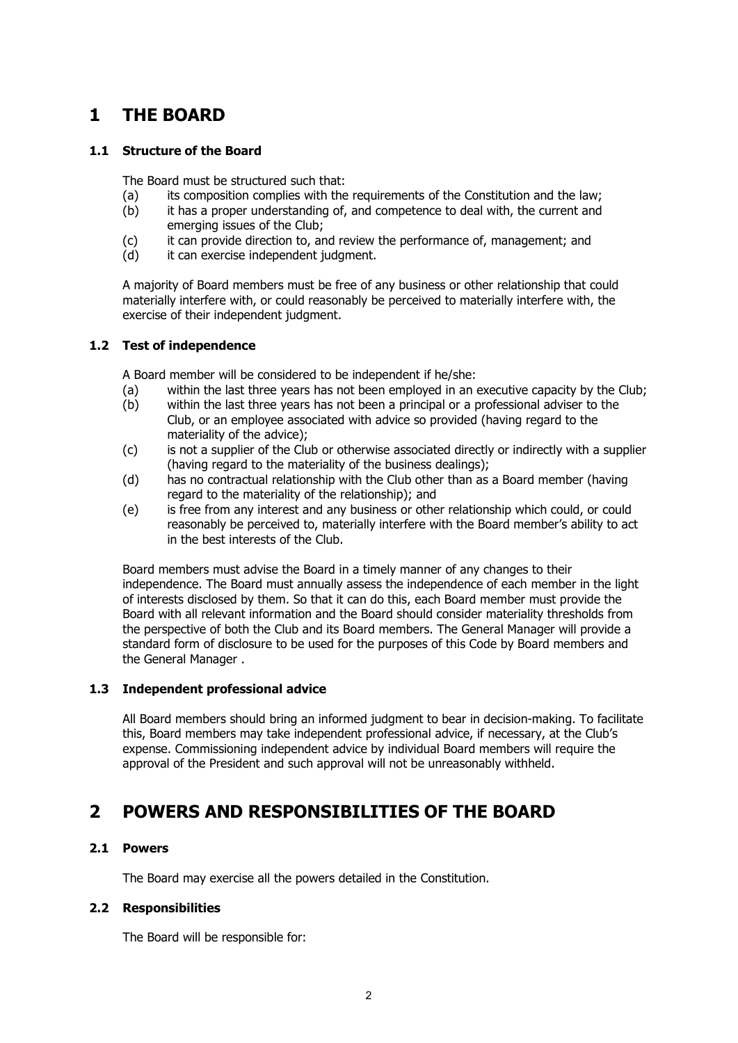# 1 THE BOARD

#### 1.1 Structure of the Board

The Board must be structured such that:

- (a) its composition complies with the requirements of the Constitution and the law;
- (b) it has a proper understanding of, and competence to deal with, the current and emerging issues of the Club;
- (c) it can provide direction to, and review the performance of, management; and
- (d) it can exercise independent judgment.

A majority of Board members must be free of any business or other relationship that could materially interfere with, or could reasonably be perceived to materially interfere with, the exercise of their independent judgment.

#### 1.2 Test of independence

A Board member will be considered to be independent if he/she:

- (a) within the last three years has not been employed in an executive capacity by the Club;
- (b) within the last three years has not been a principal or a professional adviser to the Club, or an employee associated with advice so provided (having regard to the materiality of the advice);
- (c) is not a supplier of the Club or otherwise associated directly or indirectly with a supplier (having regard to the materiality of the business dealings);
- (d) has no contractual relationship with the Club other than as a Board member (having regard to the materiality of the relationship); and
- (e) is free from any interest and any business or other relationship which could, or could reasonably be perceived to, materially interfere with the Board member's ability to act in the best interests of the Club.

Board members must advise the Board in a timely manner of any changes to their independence. The Board must annually assess the independence of each member in the light of interests disclosed by them. So that it can do this, each Board member must provide the Board with all relevant information and the Board should consider materiality thresholds from the perspective of both the Club and its Board members. The General Manager will provide a standard form of disclosure to be used for the purposes of this Code by Board members and the General Manager .

#### 1.3 Independent professional advice

All Board members should bring an informed judgment to bear in decision-making. To facilitate this, Board members may take independent professional advice, if necessary, at the Club's expense. Commissioning independent advice by individual Board members will require the approval of the President and such approval will not be unreasonably withheld.

## 2 POWERS AND RESPONSIBILITIES OF THE BOARD

#### 2.1 Powers

The Board may exercise all the powers detailed in the Constitution.

#### 2.2 Responsibilities

The Board will be responsible for: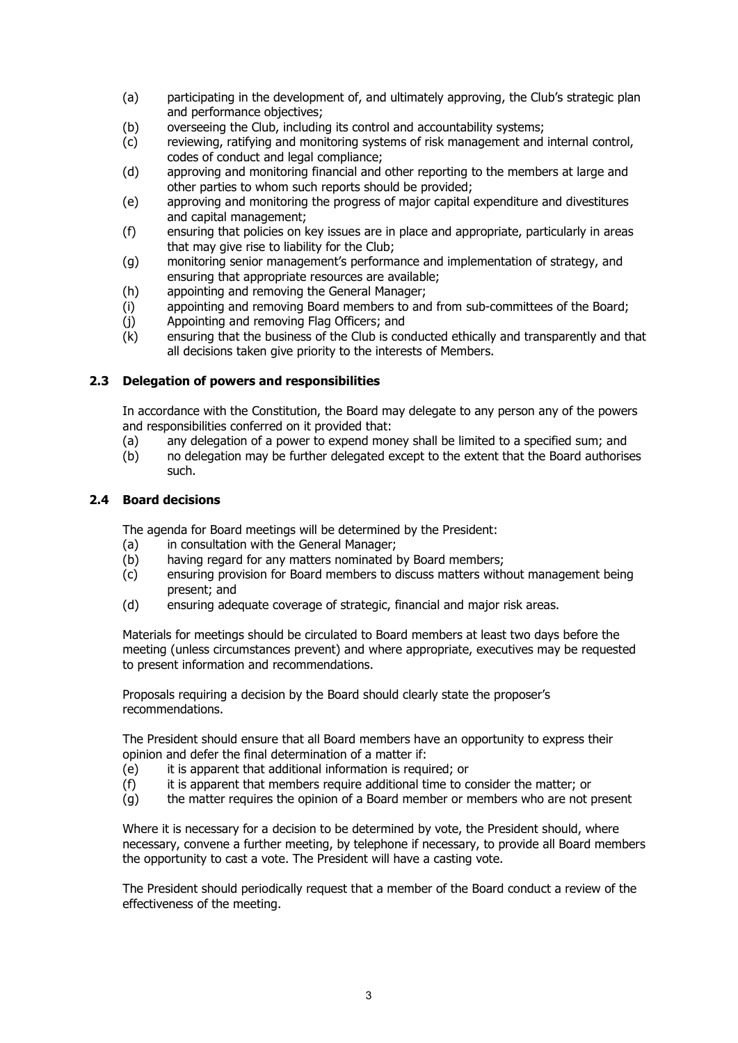- (a) participating in the development of, and ultimately approving, the Club's strategic plan and performance objectives;
- (b) overseeing the Club, including its control and accountability systems;
- (c) reviewing, ratifying and monitoring systems of risk management and internal control, codes of conduct and legal compliance;
- (d) approving and monitoring financial and other reporting to the members at large and other parties to whom such reports should be provided;
- (e) approving and monitoring the progress of major capital expenditure and divestitures and capital management;
- (f) ensuring that policies on key issues are in place and appropriate, particularly in areas that may give rise to liability for the Club;
- (g) monitoring senior management's performance and implementation of strategy, and ensuring that appropriate resources are available;
- (h) appointing and removing the General Manager;
- (i) appointing and removing Board members to and from sub-committees of the Board;
- (j) Appointing and removing Flag Officers; and
- (k) ensuring that the business of the Club is conducted ethically and transparently and that all decisions taken give priority to the interests of Members.

#### 2.3 Delegation of powers and responsibilities

In accordance with the Constitution, the Board may delegate to any person any of the powers and responsibilities conferred on it provided that:

- (a) any delegation of a power to expend money shall be limited to a specified sum; and
- (b) no delegation may be further delegated except to the extent that the Board authorises such.

#### 2.4 Board decisions

The agenda for Board meetings will be determined by the President:

- (a) in consultation with the General Manager;
- (b) having regard for any matters nominated by Board members;
- (c) ensuring provision for Board members to discuss matters without management being present; and
- (d) ensuring adequate coverage of strategic, financial and major risk areas.

Materials for meetings should be circulated to Board members at least two days before the meeting (unless circumstances prevent) and where appropriate, executives may be requested to present information and recommendations.

Proposals requiring a decision by the Board should clearly state the proposer's recommendations.

The President should ensure that all Board members have an opportunity to express their opinion and defer the final determination of a matter if:

- (e) it is apparent that additional information is required; or
- (f) it is apparent that members require additional time to consider the matter; or
- (g) the matter requires the opinion of a Board member or members who are not present

Where it is necessary for a decision to be determined by vote, the President should, where necessary, convene a further meeting, by telephone if necessary, to provide all Board members the opportunity to cast a vote. The President will have a casting vote.

The President should periodically request that a member of the Board conduct a review of the effectiveness of the meeting.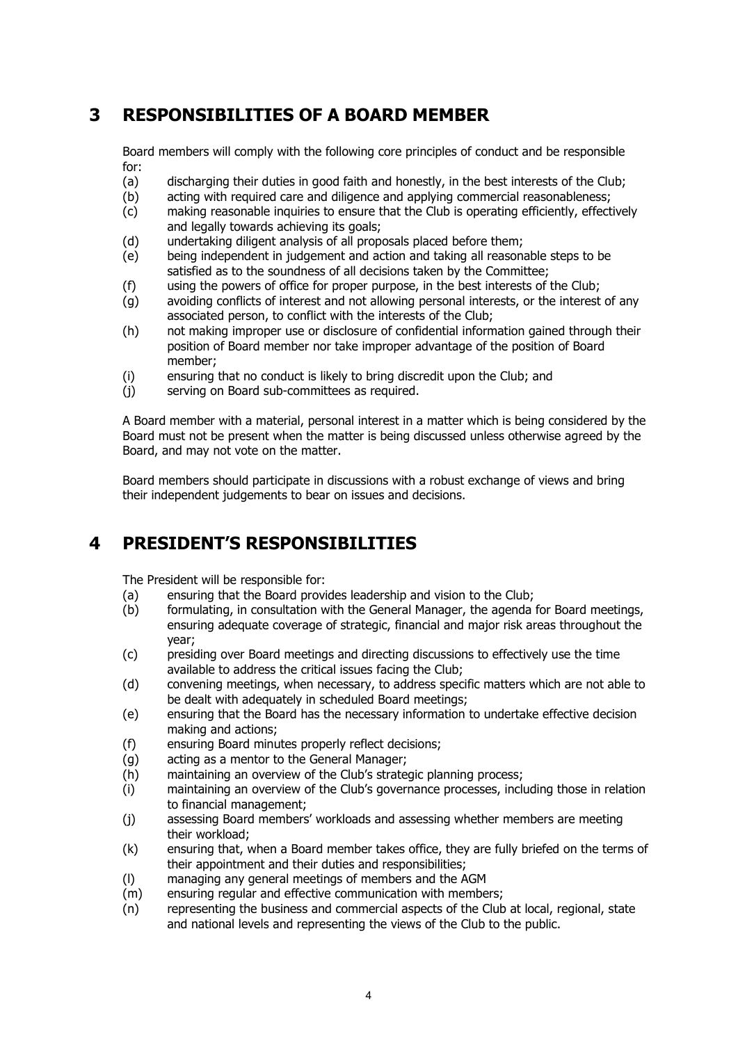# 3 RESPONSIBILITIES OF A BOARD MEMBER

Board members will comply with the following core principles of conduct and be responsible for:

- (a) discharging their duties in good faith and honestly, in the best interests of the Club;
- (b) acting with required care and diligence and applying commercial reasonableness;
- (c) making reasonable inquiries to ensure that the Club is operating efficiently, effectively and legally towards achieving its goals;
- (d) undertaking diligent analysis of all proposals placed before them;
- (e) being independent in judgement and action and taking all reasonable steps to be satisfied as to the soundness of all decisions taken by the Committee;
- (f) using the powers of office for proper purpose, in the best interests of the Club;
- (g) avoiding conflicts of interest and not allowing personal interests, or the interest of any associated person, to conflict with the interests of the Club;
- (h) not making improper use or disclosure of confidential information gained through their position of Board member nor take improper advantage of the position of Board member;
- (i) ensuring that no conduct is likely to bring discredit upon the Club; and
- (j) serving on Board sub-committees as required.

A Board member with a material, personal interest in a matter which is being considered by the Board must not be present when the matter is being discussed unless otherwise agreed by the Board, and may not vote on the matter.

Board members should participate in discussions with a robust exchange of views and bring their independent judgements to bear on issues and decisions.

## 4 PRESIDENT'S RESPONSIBILITIES

The President will be responsible for:

- (a) ensuring that the Board provides leadership and vision to the Club;
- (b) formulating, in consultation with the General Manager, the agenda for Board meetings, ensuring adequate coverage of strategic, financial and major risk areas throughout the year;
- (c) presiding over Board meetings and directing discussions to effectively use the time available to address the critical issues facing the Club;
- (d) convening meetings, when necessary, to address specific matters which are not able to be dealt with adequately in scheduled Board meetings;
- (e) ensuring that the Board has the necessary information to undertake effective decision making and actions;
- (f) ensuring Board minutes properly reflect decisions;
- (g) acting as a mentor to the General Manager;
- (h) maintaining an overview of the Club's strategic planning process;
- (i) maintaining an overview of the Club's governance processes, including those in relation to financial management;
- (j) assessing Board members' workloads and assessing whether members are meeting their workload;
- (k) ensuring that, when a Board member takes office, they are fully briefed on the terms of their appointment and their duties and responsibilities;
- (l) managing any general meetings of members and the AGM
- (m) ensuring regular and effective communication with members;
- (n) representing the business and commercial aspects of the Club at local, regional, state and national levels and representing the views of the Club to the public.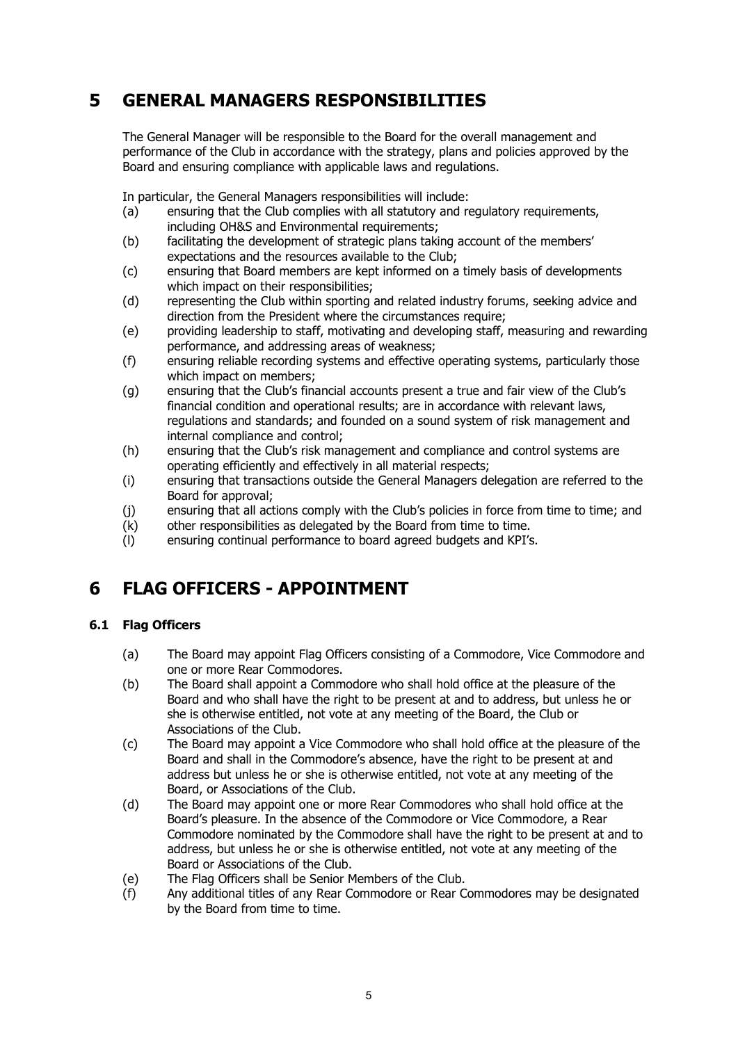# 5 GENERAL MANAGERS RESPONSIBILITIES

The General Manager will be responsible to the Board for the overall management and performance of the Club in accordance with the strategy, plans and policies approved by the Board and ensuring compliance with applicable laws and regulations.

In particular, the General Managers responsibilities will include:

- (a) ensuring that the Club complies with all statutory and regulatory requirements, including OH&S and Environmental requirements;
- (b) facilitating the development of strategic plans taking account of the members' expectations and the resources available to the Club;
- (c) ensuring that Board members are kept informed on a timely basis of developments which impact on their responsibilities;
- (d) representing the Club within sporting and related industry forums, seeking advice and direction from the President where the circumstances require;
- (e) providing leadership to staff, motivating and developing staff, measuring and rewarding performance, and addressing areas of weakness;
- (f) ensuring reliable recording systems and effective operating systems, particularly those which impact on members;
- (g) ensuring that the Club's financial accounts present a true and fair view of the Club's financial condition and operational results; are in accordance with relevant laws, regulations and standards; and founded on a sound system of risk management and internal compliance and control;
- (h) ensuring that the Club's risk management and compliance and control systems are operating efficiently and effectively in all material respects;
- (i) ensuring that transactions outside the General Managers delegation are referred to the Board for approval;
- (j) ensuring that all actions comply with the Club's policies in force from time to time; and
- (k) other responsibilities as delegated by the Board from time to time.
- (l) ensuring continual performance to board agreed budgets and KPI's.

# 6 FLAG OFFICERS - APPOINTMENT

## 6.1 Flag Officers

- (a) The Board may appoint Flag Officers consisting of a Commodore, Vice Commodore and one or more Rear Commodores.
- (b) The Board shall appoint a Commodore who shall hold office at the pleasure of the Board and who shall have the right to be present at and to address, but unless he or she is otherwise entitled, not vote at any meeting of the Board, the Club or Associations of the Club.
- (c) The Board may appoint a Vice Commodore who shall hold office at the pleasure of the Board and shall in the Commodore's absence, have the right to be present at and address but unless he or she is otherwise entitled, not vote at any meeting of the Board, or Associations of the Club.
- (d) The Board may appoint one or more Rear Commodores who shall hold office at the Board's pleasure. In the absence of the Commodore or Vice Commodore, a Rear Commodore nominated by the Commodore shall have the right to be present at and to address, but unless he or she is otherwise entitled, not vote at any meeting of the Board or Associations of the Club.
- (e) The Flag Officers shall be Senior Members of the Club.
- (f) Any additional titles of any Rear Commodore or Rear Commodores may be designated by the Board from time to time.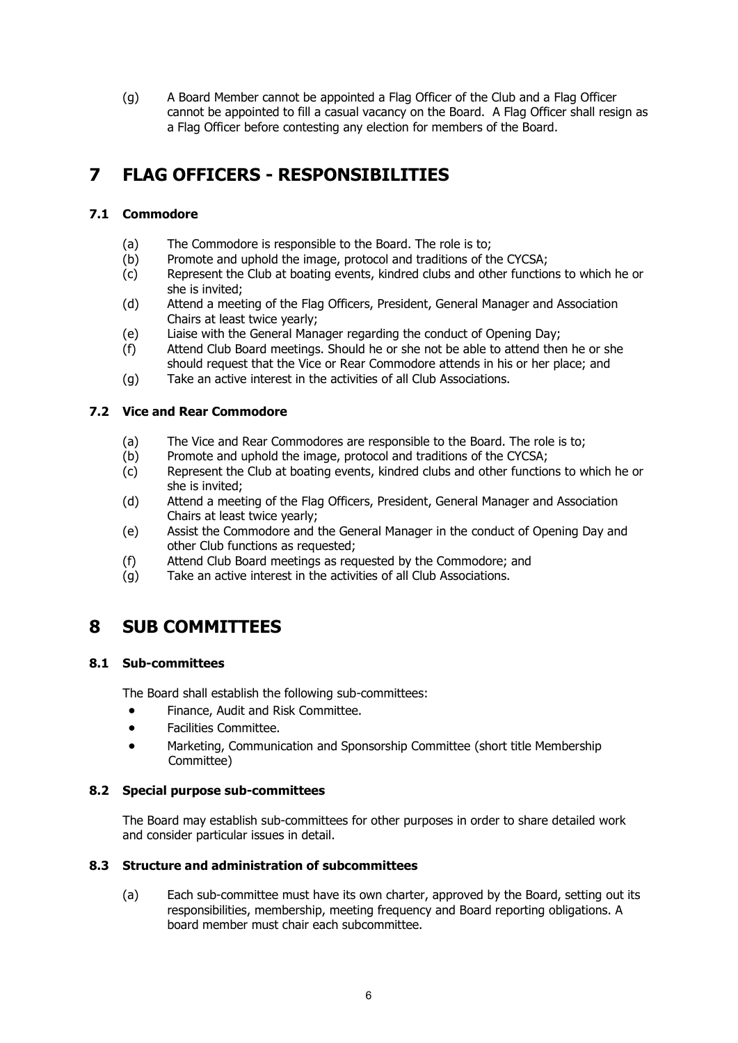(g) A Board Member cannot be appointed a Flag Officer of the Club and a Flag Officer cannot be appointed to fill a casual vacancy on the Board. A Flag Officer shall resign as a Flag Officer before contesting any election for members of the Board.

# 7 FLAG OFFICERS - RESPONSIBILITIES

## 7.1 Commodore

- (a) The Commodore is responsible to the Board. The role is to;
- (b) Promote and uphold the image, protocol and traditions of the CYCSA;
- (c) Represent the Club at boating events, kindred clubs and other functions to which he or she is invited;
- (d) Attend a meeting of the Flag Officers, President, General Manager and Association Chairs at least twice yearly;
- (e) Liaise with the General Manager regarding the conduct of Opening Day;
- (f) Attend Club Board meetings. Should he or she not be able to attend then he or she should request that the Vice or Rear Commodore attends in his or her place; and
- (g) Take an active interest in the activities of all Club Associations.

## 7.2 Vice and Rear Commodore

- (a) The Vice and Rear Commodores are responsible to the Board. The role is to;
- (b) Promote and uphold the image, protocol and traditions of the CYCSA;
- (c) Represent the Club at boating events, kindred clubs and other functions to which he or she is invited;
- (d) Attend a meeting of the Flag Officers, President, General Manager and Association Chairs at least twice yearly;
- (e) Assist the Commodore and the General Manager in the conduct of Opening Day and other Club functions as requested;
- (f) Attend Club Board meetings as requested by the Commodore; and
- (g) Take an active interest in the activities of all Club Associations.

## 8 SUB COMMITTEES

## 8.1 Sub-committees

The Board shall establish the following sub-committees:

- Finance, Audit and Risk Committee.
- Facilities Committee.
- Marketing, Communication and Sponsorship Committee (short title Membership Committee)

## 8.2 Special purpose sub-committees

The Board may establish sub-committees for other purposes in order to share detailed work and consider particular issues in detail.

#### 8.3 Structure and administration of subcommittees

(a) Each sub-committee must have its own charter, approved by the Board, setting out its responsibilities, membership, meeting frequency and Board reporting obligations. A board member must chair each subcommittee.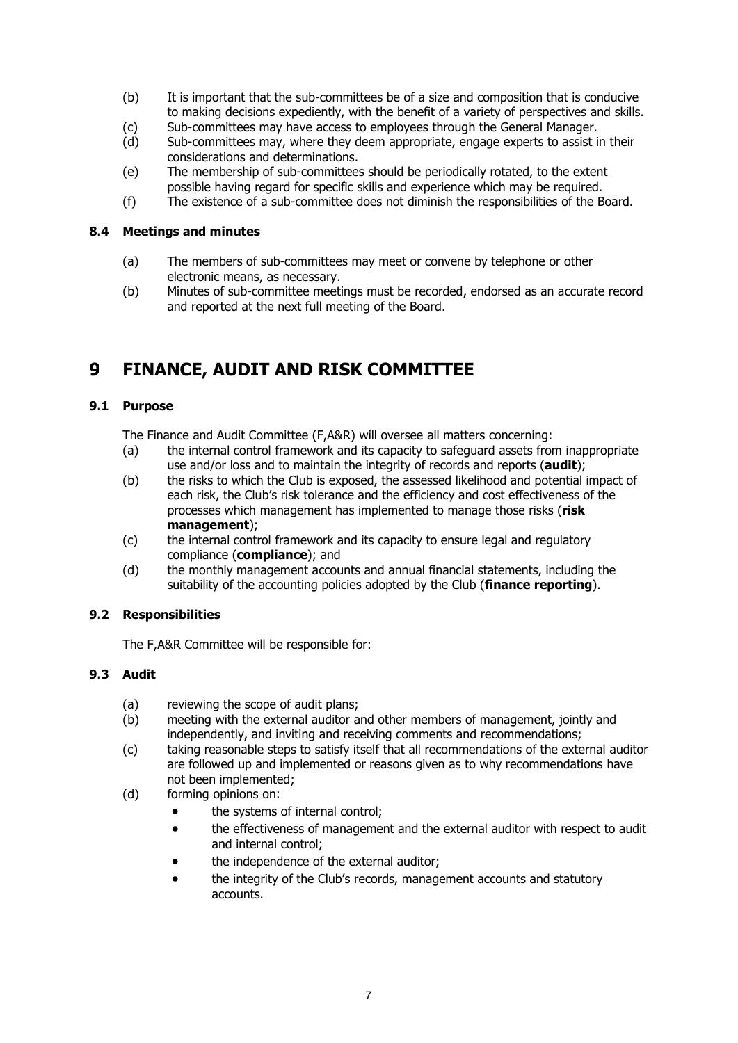- (b) It is important that the sub-committees be of a size and composition that is conducive to making decisions expediently, with the benefit of a variety of perspectives and skills.
- (c) Sub-committees may have access to employees through the General Manager.
- (d) Sub-committees may, where they deem appropriate, engage experts to assist in their considerations and determinations.
- (e) The membership of sub-committees should be periodically rotated, to the extent possible having regard for specific skills and experience which may be required.
- (f) The existence of a sub-committee does not diminish the responsibilities of the Board.

#### 8.4 Meetings and minutes

- (a) The members of sub-committees may meet or convene by telephone or other electronic means, as necessary.
- (b) Minutes of sub-committee meetings must be recorded, endorsed as an accurate record and reported at the next full meeting of the Board.

# 9 FINANCE, AUDIT AND RISK COMMITTEE

## 9.1 Purpose

The Finance and Audit Committee (F,A&R) will oversee all matters concerning:

- (a) the internal control framework and its capacity to safeguard assets from inappropriate use and/or loss and to maintain the integrity of records and reports (audit);
- (b) the risks to which the Club is exposed, the assessed likelihood and potential impact of each risk, the Club's risk tolerance and the efficiency and cost effectiveness of the processes which management has implemented to manage those risks (risk management);
- (c) the internal control framework and its capacity to ensure legal and regulatory compliance (compliance); and
- (d) the monthly management accounts and annual financial statements, including the suitability of the accounting policies adopted by the Club (**finance reporting**).

## 9.2 Responsibilities

The F,A&R Committee will be responsible for:

## 9.3 Audit

- (a) reviewing the scope of audit plans;
- (b) meeting with the external auditor and other members of management, jointly and independently, and inviting and receiving comments and recommendations;
- (c) taking reasonable steps to satisfy itself that all recommendations of the external auditor are followed up and implemented or reasons given as to why recommendations have not been implemented;
- (d) forming opinions on:
	- the systems of internal control;
	- the effectiveness of management and the external auditor with respect to audit and internal control;
	- the independence of the external auditor;
	- the integrity of the Club's records, management accounts and statutory accounts.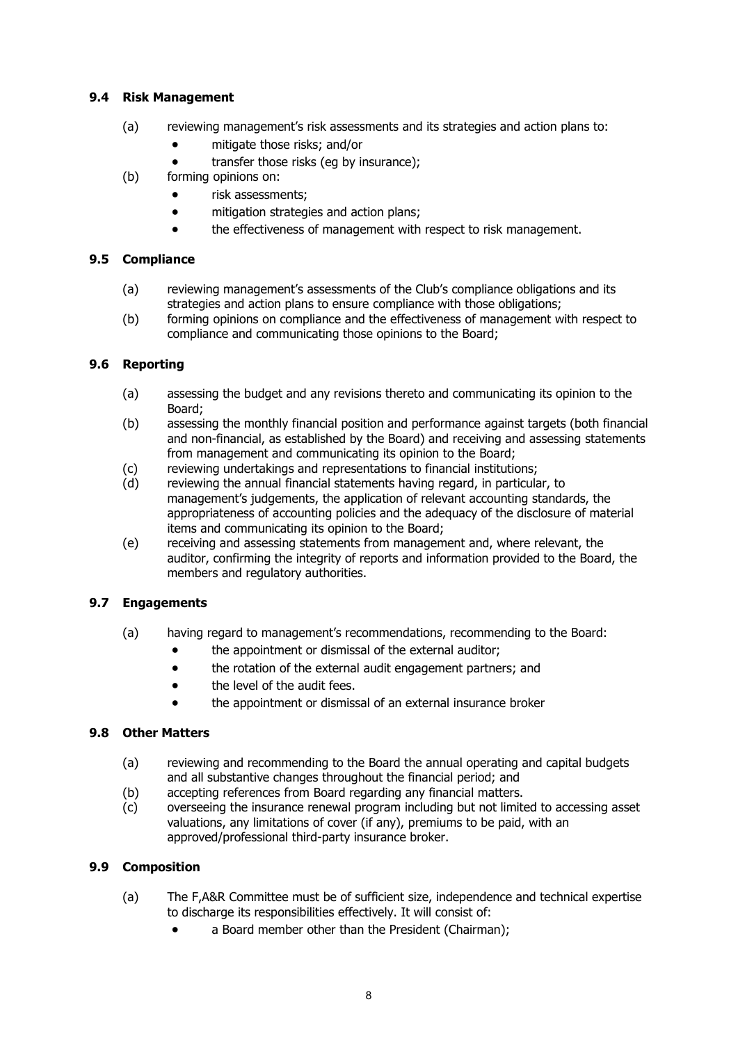## 9.4 Risk Management

- (a) reviewing management's risk assessments and its strategies and action plans to:
	- mitigate those risks; and/or
	- transfer those risks (eq by insurance);
- (b) forming opinions on:
	- risk assessments;
	- mitigation strategies and action plans;
	- the effectiveness of management with respect to risk management.

## 9.5 Compliance

- (a) reviewing management's assessments of the Club's compliance obligations and its strategies and action plans to ensure compliance with those obligations;
- (b) forming opinions on compliance and the effectiveness of management with respect to compliance and communicating those opinions to the Board;

## 9.6 Reporting

- (a) assessing the budget and any revisions thereto and communicating its opinion to the Board;
- (b) assessing the monthly financial position and performance against targets (both financial and non-financial, as established by the Board) and receiving and assessing statements from management and communicating its opinion to the Board;
- (c) reviewing undertakings and representations to financial institutions;
- (d) reviewing the annual financial statements having regard, in particular, to management's judgements, the application of relevant accounting standards, the appropriateness of accounting policies and the adequacy of the disclosure of material items and communicating its opinion to the Board;
- (e) receiving and assessing statements from management and, where relevant, the auditor, confirming the integrity of reports and information provided to the Board, the members and regulatory authorities.

## 9.7 Engagements

- (a) having regard to management's recommendations, recommending to the Board:
	- the appointment or dismissal of the external auditor;
	- the rotation of the external audit engagement partners; and
	- the level of the audit fees.
	- the appointment or dismissal of an external insurance broker

## 9.8 Other Matters

- (a) reviewing and recommending to the Board the annual operating and capital budgets and all substantive changes throughout the financial period; and
- (b) accepting references from Board regarding any financial matters.
- (c) overseeing the insurance renewal program including but not limited to accessing asset valuations, any limitations of cover (if any), premiums to be paid, with an approved/professional third-party insurance broker.

## 9.9 Composition

- (a) The F,A&R Committee must be of sufficient size, independence and technical expertise to discharge its responsibilities effectively. It will consist of:
	- a Board member other than the President (Chairman);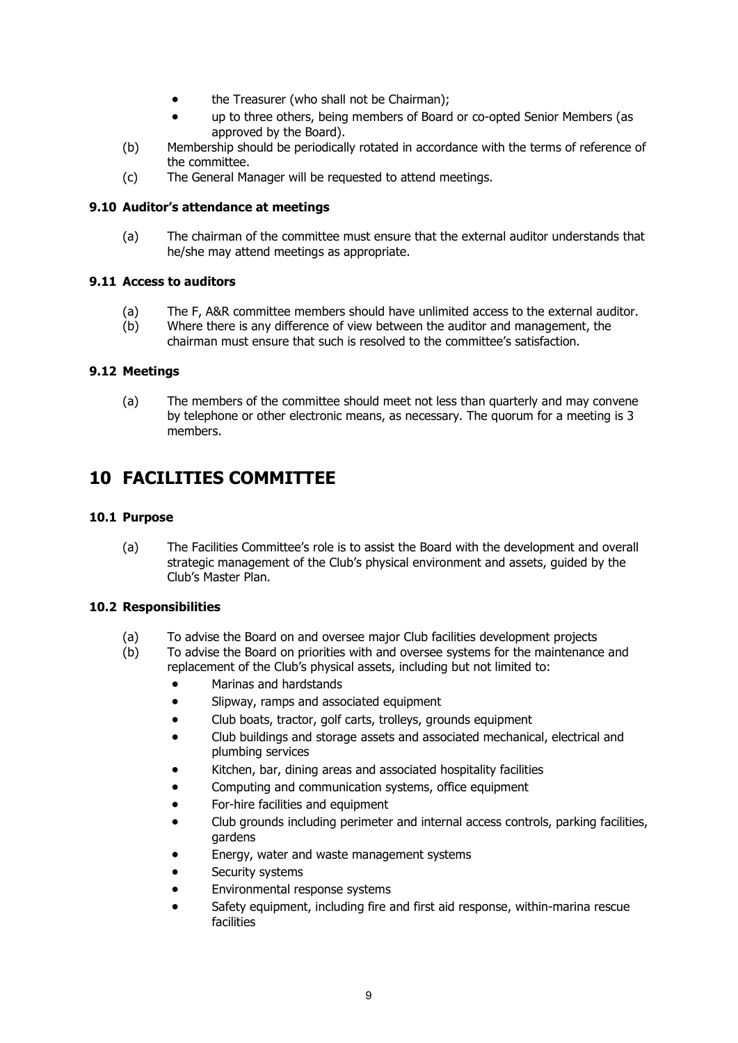- the Treasurer (who shall not be Chairman);
- up to three others, being members of Board or co-opted Senior Members (as approved by the Board).
- (b) Membership should be periodically rotated in accordance with the terms of reference of the committee.
- (c) The General Manager will be requested to attend meetings.

#### 9.10 Auditor's attendance at meetings

(a) The chairman of the committee must ensure that the external auditor understands that he/she may attend meetings as appropriate.

#### 9.11 Access to auditors

- (a) The F, A&R committee members should have unlimited access to the external auditor.
- (b) Where there is any difference of view between the auditor and management, the chairman must ensure that such is resolved to the committee's satisfaction.

#### 9.12 Meetings

(a) The members of the committee should meet not less than quarterly and may convene by telephone or other electronic means, as necessary. The quorum for a meeting is 3 members.

## 10 FACILITIES COMMITTEE

#### 10.1 Purpose

(a) The Facilities Committee's role is to assist the Board with the development and overall strategic management of the Club's physical environment and assets, guided by the Club's Master Plan.

#### 10.2 Responsibilities

- (a) To advise the Board on and oversee major Club facilities development projects
- (b) To advise the Board on priorities with and oversee systems for the maintenance and replacement of the Club's physical assets, including but not limited to:
	- Marinas and hardstands
	- Slipway, ramps and associated equipment
	- Club boats, tractor, golf carts, trolleys, grounds equipment
	- Club buildings and storage assets and associated mechanical, electrical and plumbing services
	- Kitchen, bar, dining areas and associated hospitality facilities
	- Computing and communication systems, office equipment
	- For-hire facilities and equipment
	- Club grounds including perimeter and internal access controls, parking facilities, gardens
	- Energy, water and waste management systems
	- Security systems
	- Environmental response systems
	- Safety equipment, including fire and first aid response, within-marina rescue facilities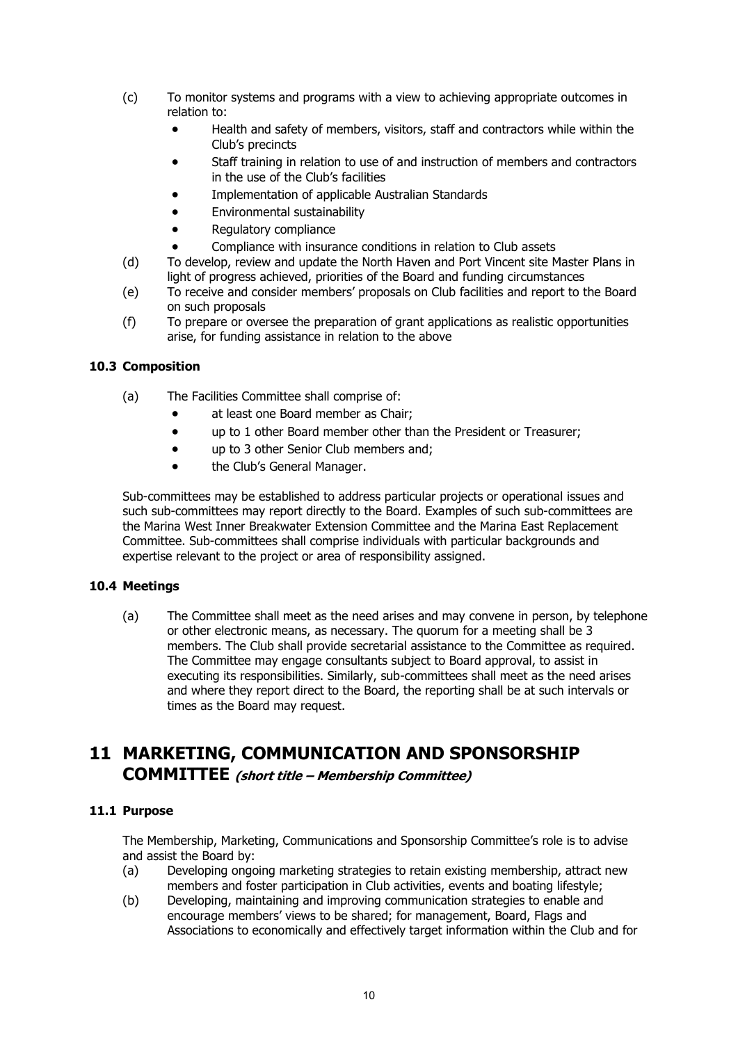- (c) To monitor systems and programs with a view to achieving appropriate outcomes in relation to:
	- Health and safety of members, visitors, staff and contractors while within the Club's precincts
	- Staff training in relation to use of and instruction of members and contractors in the use of the Club's facilities
	- Implementation of applicable Australian Standards
	- Environmental sustainability
	- Regulatory compliance
		- Compliance with insurance conditions in relation to Club assets
- (d) To develop, review and update the North Haven and Port Vincent site Master Plans in light of progress achieved, priorities of the Board and funding circumstances
- (e) To receive and consider members' proposals on Club facilities and report to the Board on such proposals
- (f) To prepare or oversee the preparation of grant applications as realistic opportunities arise, for funding assistance in relation to the above

#### 10.3 Composition

- (a) The Facilities Committee shall comprise of:
	- at least one Board member as Chair;
	- up to 1 other Board member other than the President or Treasurer;
	- up to 3 other Senior Club members and;
	- the Club's General Manager.

Sub-committees may be established to address particular projects or operational issues and such sub-committees may report directly to the Board. Examples of such sub-committees are the Marina West Inner Breakwater Extension Committee and the Marina East Replacement Committee. Sub-committees shall comprise individuals with particular backgrounds and expertise relevant to the project or area of responsibility assigned.

#### 10.4 Meetings

(a) The Committee shall meet as the need arises and may convene in person, by telephone or other electronic means, as necessary. The quorum for a meeting shall be 3 members. The Club shall provide secretarial assistance to the Committee as required. The Committee may engage consultants subject to Board approval, to assist in executing its responsibilities. Similarly, sub-committees shall meet as the need arises and where they report direct to the Board, the reporting shall be at such intervals or times as the Board may request.

## 11 MARKETING, COMMUNICATION AND SPONSORSHIP COMMITTEE (short title – Membership Committee)

## 11.1 Purpose

The Membership, Marketing, Communications and Sponsorship Committee's role is to advise and assist the Board by:

- (a) Developing ongoing marketing strategies to retain existing membership, attract new members and foster participation in Club activities, events and boating lifestyle;
- (b) Developing, maintaining and improving communication strategies to enable and encourage members' views to be shared; for management, Board, Flags and Associations to economically and effectively target information within the Club and for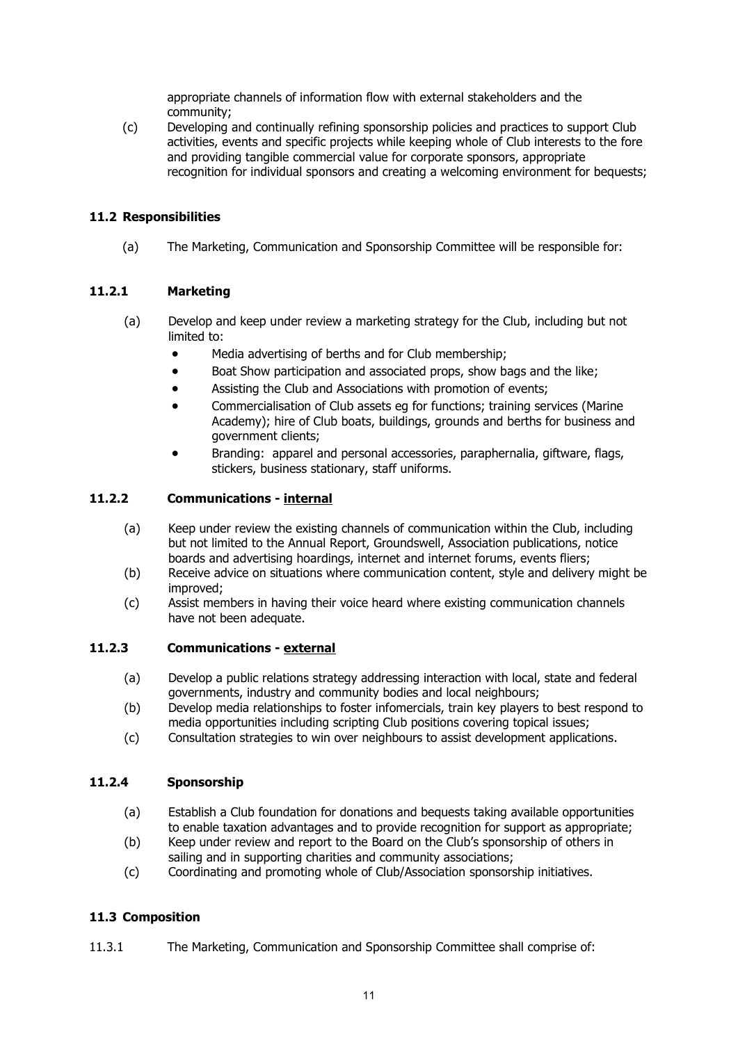appropriate channels of information flow with external stakeholders and the community;

(c) Developing and continually refining sponsorship policies and practices to support Club activities, events and specific projects while keeping whole of Club interests to the fore and providing tangible commercial value for corporate sponsors, appropriate recognition for individual sponsors and creating a welcoming environment for bequests;

## 11.2 Responsibilities

(a) The Marketing, Communication and Sponsorship Committee will be responsible for:

## 11.2.1 Marketing

- (a) Develop and keep under review a marketing strategy for the Club, including but not limited to:
	- Media advertising of berths and for Club membership;
	- Boat Show participation and associated props, show bags and the like;
	- Assisting the Club and Associations with promotion of events;
	- Commercialisation of Club assets eg for functions; training services (Marine Academy); hire of Club boats, buildings, grounds and berths for business and government clients;
	- Branding: apparel and personal accessories, paraphernalia, giftware, flags, stickers, business stationary, staff uniforms.

## 11.2.2 Communications - internal

- (a) Keep under review the existing channels of communication within the Club, including but not limited to the Annual Report, Groundswell, Association publications, notice boards and advertising hoardings, internet and internet forums, events fliers;
- (b) Receive advice on situations where communication content, style and delivery might be improved;
- (c) Assist members in having their voice heard where existing communication channels have not been adequate.

#### 11.2.3 Communications - external

- (a) Develop a public relations strategy addressing interaction with local, state and federal governments, industry and community bodies and local neighbours;
- (b) Develop media relationships to foster infomercials, train key players to best respond to media opportunities including scripting Club positions covering topical issues;
- (c) Consultation strategies to win over neighbours to assist development applications.

## 11.2.4 Sponsorship

- (a) Establish a Club foundation for donations and bequests taking available opportunities to enable taxation advantages and to provide recognition for support as appropriate;
- (b) Keep under review and report to the Board on the Club's sponsorship of others in sailing and in supporting charities and community associations;
- (c) Coordinating and promoting whole of Club/Association sponsorship initiatives.

## 11.3 Composition

11.3.1 The Marketing, Communication and Sponsorship Committee shall comprise of: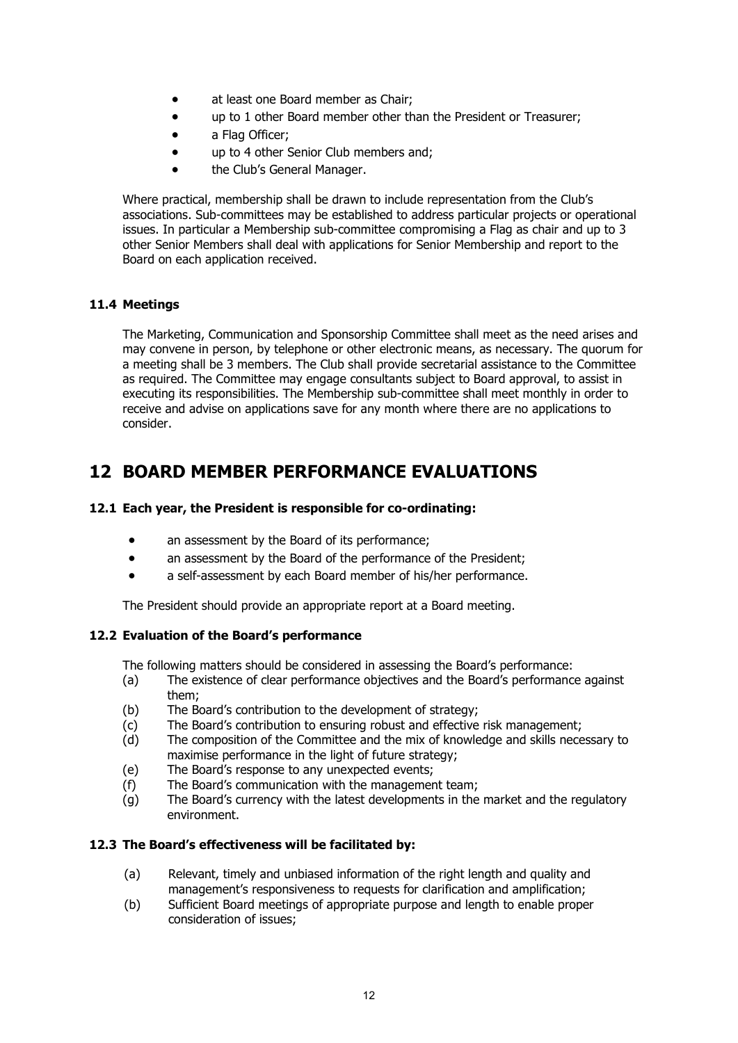- at least one Board member as Chair;
- up to 1 other Board member other than the President or Treasurer;
- a Flag Officer:
- up to 4 other Senior Club members and;
- the Club's General Manager.

Where practical, membership shall be drawn to include representation from the Club's associations. Sub-committees may be established to address particular projects or operational issues. In particular a Membership sub-committee compromising a Flag as chair and up to 3 other Senior Members shall deal with applications for Senior Membership and report to the Board on each application received.

#### 11.4 Meetings

The Marketing, Communication and Sponsorship Committee shall meet as the need arises and may convene in person, by telephone or other electronic means, as necessary. The quorum for a meeting shall be 3 members. The Club shall provide secretarial assistance to the Committee as required. The Committee may engage consultants subject to Board approval, to assist in executing its responsibilities. The Membership sub-committee shall meet monthly in order to receive and advise on applications save for any month where there are no applications to consider.

## 12 BOARD MEMBER PERFORMANCE EVALUATIONS

#### 12.1 Each year, the President is responsible for co-ordinating:

- an assessment by the Board of its performance;
- an assessment by the Board of the performance of the President;
- a self-assessment by each Board member of his/her performance.

The President should provide an appropriate report at a Board meeting.

#### 12.2 Evaluation of the Board's performance

The following matters should be considered in assessing the Board's performance:

- (a) The existence of clear performance objectives and the Board's performance against them;
- (b) The Board's contribution to the development of strategy;
- (c) The Board's contribution to ensuring robust and effective risk management;
- (d) The composition of the Committee and the mix of knowledge and skills necessary to maximise performance in the light of future strategy;
- (e) The Board's response to any unexpected events;
- (f) The Board's communication with the management team;
- (g) The Board's currency with the latest developments in the market and the regulatory environment.

#### 12.3 The Board's effectiveness will be facilitated by:

- (a) Relevant, timely and unbiased information of the right length and quality and management's responsiveness to requests for clarification and amplification;
- (b) Sufficient Board meetings of appropriate purpose and length to enable proper consideration of issues;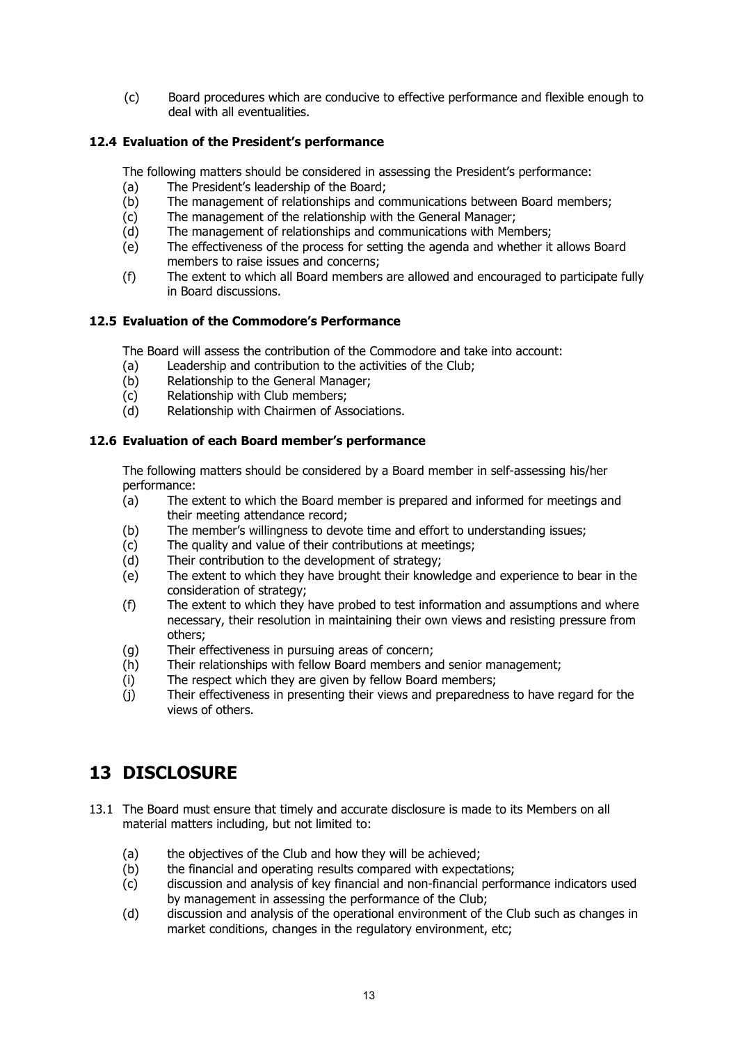(c) Board procedures which are conducive to effective performance and flexible enough to deal with all eventualities.

## 12.4 Evaluation of the President's performance

The following matters should be considered in assessing the President's performance:

- (a) The President's leadership of the Board;
- (b) The management of relationships and communications between Board members;
- (c) The management of the relationship with the General Manager;
- (d) The management of relationships and communications with Members;
- (e) The effectiveness of the process for setting the agenda and whether it allows Board members to raise issues and concerns;
- (f) The extent to which all Board members are allowed and encouraged to participate fully in Board discussions.

#### 12.5 Evaluation of the Commodore's Performance

The Board will assess the contribution of the Commodore and take into account:

- (a) Leadership and contribution to the activities of the Club;
- (b) Relationship to the General Manager;
- (c) Relationship with Club members;
- (d) Relationship with Chairmen of Associations.

#### 12.6 Evaluation of each Board member's performance

The following matters should be considered by a Board member in self-assessing his/her performance:

- (a) The extent to which the Board member is prepared and informed for meetings and their meeting attendance record;
- (b) The member's willingness to devote time and effort to understanding issues;
- (c) The quality and value of their contributions at meetings;
- (d) Their contribution to the development of strategy;
- (e) The extent to which they have brought their knowledge and experience to bear in the consideration of strategy;
- (f) The extent to which they have probed to test information and assumptions and where necessary, their resolution in maintaining their own views and resisting pressure from others;
- (g) Their effectiveness in pursuing areas of concern;
- (h) Their relationships with fellow Board members and senior management;
- (i) The respect which they are given by fellow Board members;
- (j) Their effectiveness in presenting their views and preparedness to have regard for the views of others.

# 13 DISCLOSURE

- 13.1 The Board must ensure that timely and accurate disclosure is made to its Members on all material matters including, but not limited to:
	- (a) the objectives of the Club and how they will be achieved;
	- (b) the financial and operating results compared with expectations;
	- (c) discussion and analysis of key financial and non-financial performance indicators used by management in assessing the performance of the Club;
	- (d) discussion and analysis of the operational environment of the Club such as changes in market conditions, changes in the regulatory environment, etc;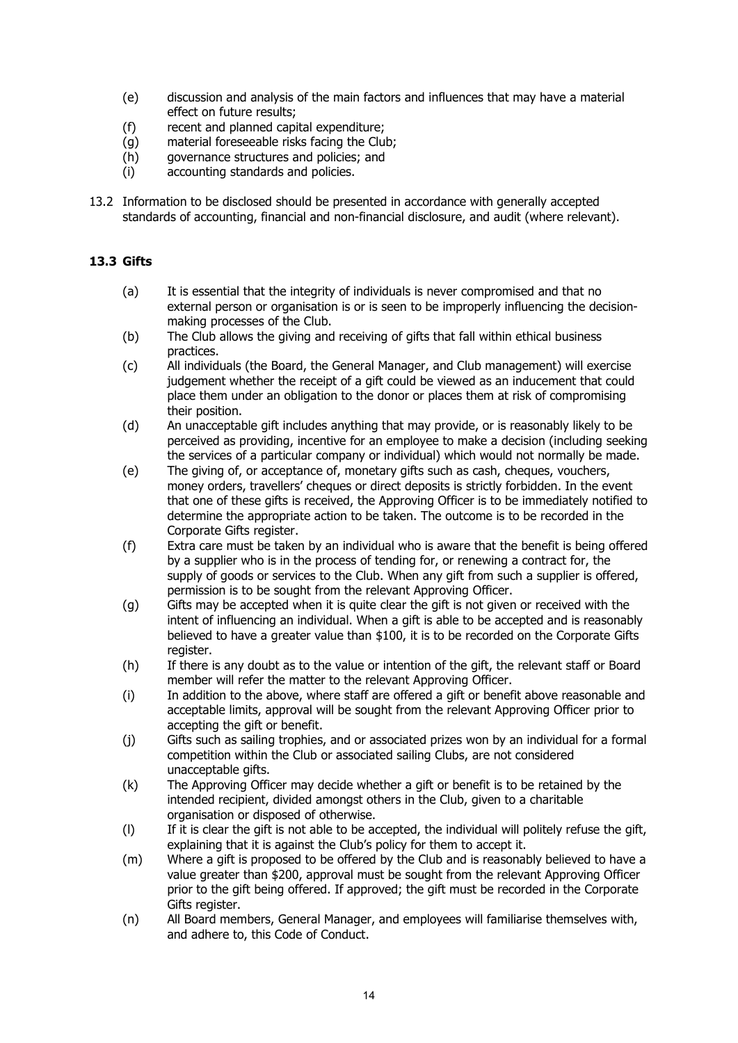- (e) discussion and analysis of the main factors and influences that may have a material effect on future results;
- (f) recent and planned capital expenditure;
- (g) material foreseeable risks facing the Club;
- (h) governance structures and policies; and
- (i) accounting standards and policies.
- 13.2 Information to be disclosed should be presented in accordance with generally accepted standards of accounting, financial and non-financial disclosure, and audit (where relevant).

## 13.3 Gifts

- (a) It is essential that the integrity of individuals is never compromised and that no external person or organisation is or is seen to be improperly influencing the decisionmaking processes of the Club.
- (b) The Club allows the giving and receiving of gifts that fall within ethical business practices.
- (c) All individuals (the Board, the General Manager, and Club management) will exercise judgement whether the receipt of a gift could be viewed as an inducement that could place them under an obligation to the donor or places them at risk of compromising their position.
- (d) An unacceptable gift includes anything that may provide, or is reasonably likely to be perceived as providing, incentive for an employee to make a decision (including seeking the services of a particular company or individual) which would not normally be made.
- (e) The giving of, or acceptance of, monetary gifts such as cash, cheques, vouchers, money orders, travellers' cheques or direct deposits is strictly forbidden. In the event that one of these gifts is received, the Approving Officer is to be immediately notified to determine the appropriate action to be taken. The outcome is to be recorded in the Corporate Gifts register.
- (f) Extra care must be taken by an individual who is aware that the benefit is being offered by a supplier who is in the process of tending for, or renewing a contract for, the supply of goods or services to the Club. When any gift from such a supplier is offered, permission is to be sought from the relevant Approving Officer.
- (g) Gifts may be accepted when it is quite clear the gift is not given or received with the intent of influencing an individual. When a gift is able to be accepted and is reasonably believed to have a greater value than \$100, it is to be recorded on the Corporate Gifts register.
- (h) If there is any doubt as to the value or intention of the gift, the relevant staff or Board member will refer the matter to the relevant Approving Officer.
- (i) In addition to the above, where staff are offered a gift or benefit above reasonable and acceptable limits, approval will be sought from the relevant Approving Officer prior to accepting the gift or benefit.
- (j) Gifts such as sailing trophies, and or associated prizes won by an individual for a formal competition within the Club or associated sailing Clubs, are not considered unacceptable gifts.
- (k) The Approving Officer may decide whether a gift or benefit is to be retained by the intended recipient, divided amongst others in the Club, given to a charitable organisation or disposed of otherwise.
- (l) If it is clear the gift is not able to be accepted, the individual will politely refuse the gift, explaining that it is against the Club's policy for them to accept it.
- (m) Where a gift is proposed to be offered by the Club and is reasonably believed to have a value greater than \$200, approval must be sought from the relevant Approving Officer prior to the gift being offered. If approved; the gift must be recorded in the Corporate Gifts register.
- (n) All Board members, General Manager, and employees will familiarise themselves with, and adhere to, this Code of Conduct.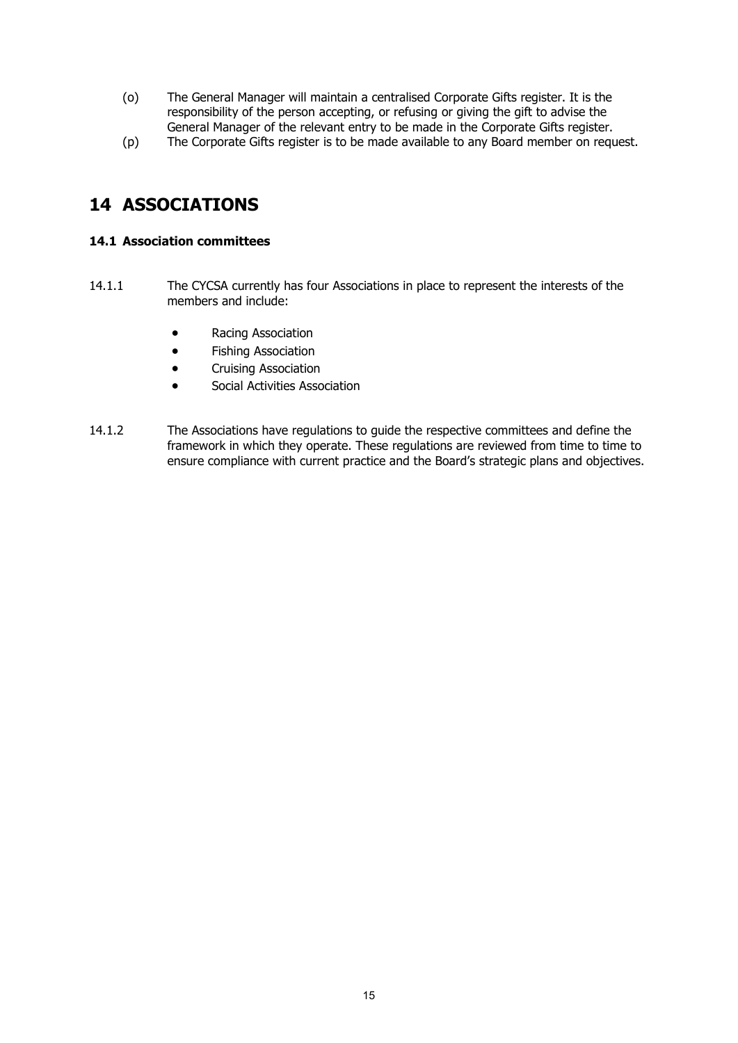- (o) The General Manager will maintain a centralised Corporate Gifts register. It is the responsibility of the person accepting, or refusing or giving the gift to advise the General Manager of the relevant entry to be made in the Corporate Gifts register.
- (p) The Corporate Gifts register is to be made available to any Board member on request.

## 14 ASSOCIATIONS

## 14.1 Association committees

- 14.1.1 The CYCSA currently has four Associations in place to represent the interests of the members and include:
	- Racing Association
	- **•** Fishing Association
	- **•** Cruising Association
	- Social Activities Association
- 14.1.2 The Associations have regulations to guide the respective committees and define the framework in which they operate. These regulations are reviewed from time to time to ensure compliance with current practice and the Board's strategic plans and objectives.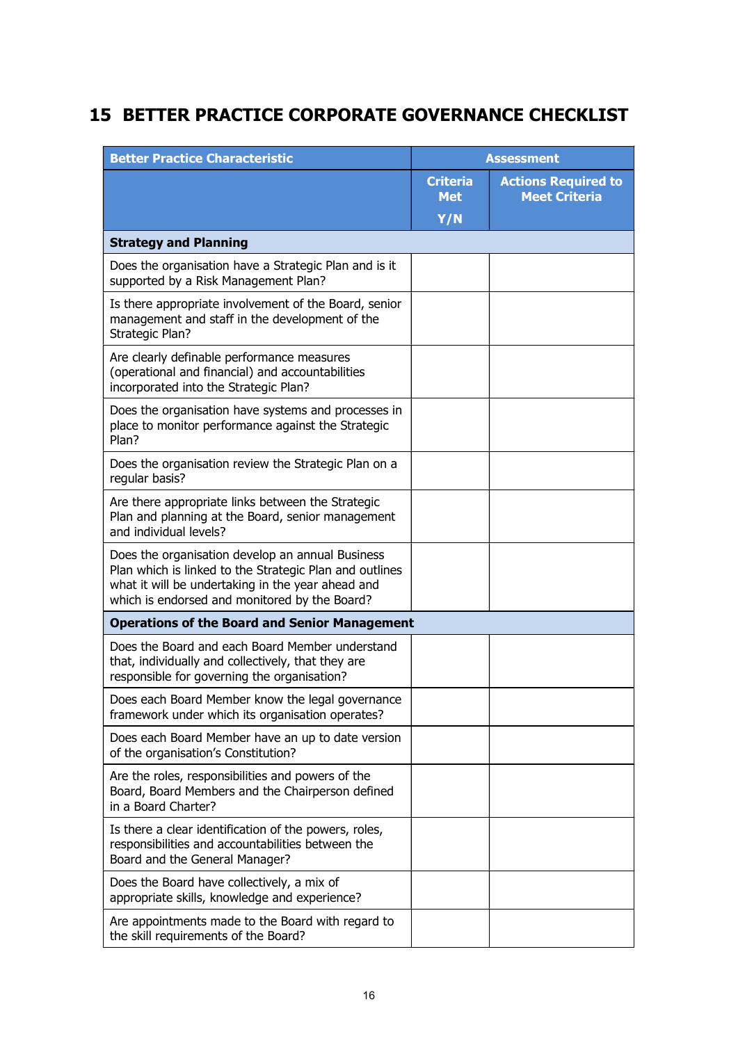# 15 BETTER PRACTICE CORPORATE GOVERNANCE CHECKLIST

| <b>Better Practice Characteristic</b>                                                                                                                                                                             | <b>Assessment</b>             |                                                    |
|-------------------------------------------------------------------------------------------------------------------------------------------------------------------------------------------------------------------|-------------------------------|----------------------------------------------------|
|                                                                                                                                                                                                                   | <b>Criteria</b><br><b>Met</b> | <b>Actions Required to</b><br><b>Meet Criteria</b> |
|                                                                                                                                                                                                                   | Y/N                           |                                                    |
| <b>Strategy and Planning</b>                                                                                                                                                                                      |                               |                                                    |
| Does the organisation have a Strategic Plan and is it<br>supported by a Risk Management Plan?                                                                                                                     |                               |                                                    |
| Is there appropriate involvement of the Board, senior<br>management and staff in the development of the<br>Strategic Plan?                                                                                        |                               |                                                    |
| Are clearly definable performance measures<br>(operational and financial) and accountabilities<br>incorporated into the Strategic Plan?                                                                           |                               |                                                    |
| Does the organisation have systems and processes in<br>place to monitor performance against the Strategic<br>Plan?                                                                                                |                               |                                                    |
| Does the organisation review the Strategic Plan on a<br>regular basis?                                                                                                                                            |                               |                                                    |
| Are there appropriate links between the Strategic<br>Plan and planning at the Board, senior management<br>and individual levels?                                                                                  |                               |                                                    |
| Does the organisation develop an annual Business<br>Plan which is linked to the Strategic Plan and outlines<br>what it will be undertaking in the year ahead and<br>which is endorsed and monitored by the Board? |                               |                                                    |
| <b>Operations of the Board and Senior Management</b>                                                                                                                                                              |                               |                                                    |
| Does the Board and each Board Member understand<br>that, individually and collectively, that they are<br>responsible for governing the organisation?                                                              |                               |                                                    |
| Does each Board Member know the legal governance<br>framework under which its organisation operates?                                                                                                              |                               |                                                    |
| Does each Board Member have an up to date version<br>of the organisation's Constitution?                                                                                                                          |                               |                                                    |
| Are the roles, responsibilities and powers of the<br>Board, Board Members and the Chairperson defined<br>in a Board Charter?                                                                                      |                               |                                                    |
| Is there a clear identification of the powers, roles,<br>responsibilities and accountabilities between the<br>Board and the General Manager?                                                                      |                               |                                                    |
| Does the Board have collectively, a mix of<br>appropriate skills, knowledge and experience?                                                                                                                       |                               |                                                    |
| Are appointments made to the Board with regard to<br>the skill requirements of the Board?                                                                                                                         |                               |                                                    |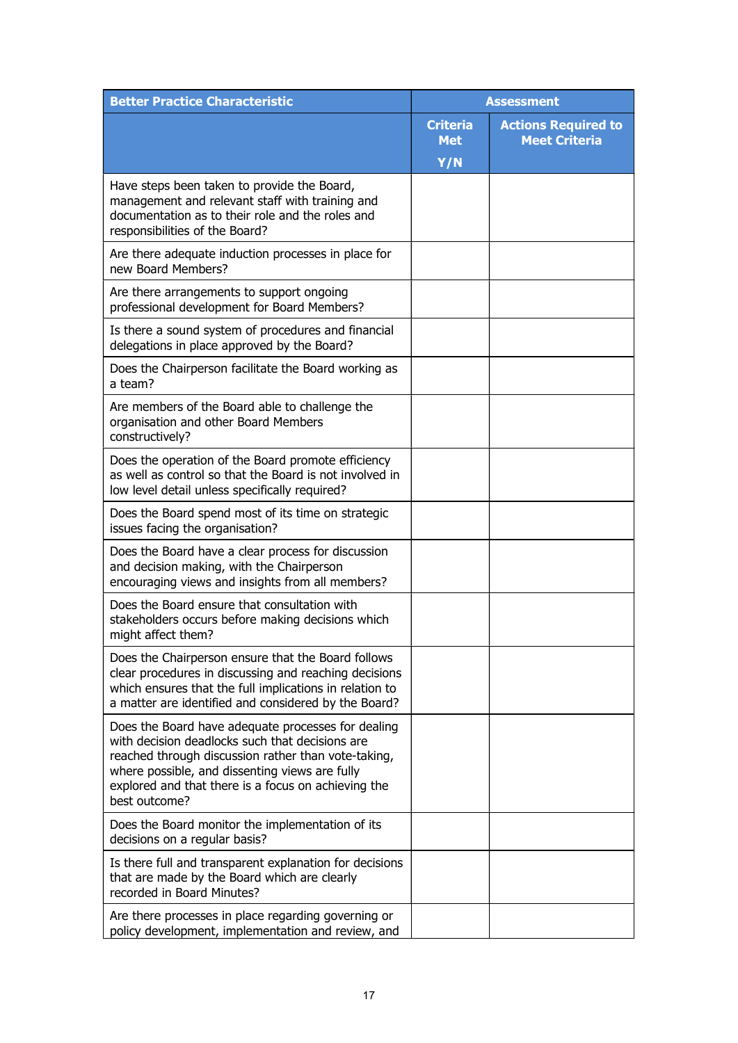| <b>Better Practice Characteristic</b>                                                                                                                                                                                                                                                  | <b>Assessment</b>             |                                                    |
|----------------------------------------------------------------------------------------------------------------------------------------------------------------------------------------------------------------------------------------------------------------------------------------|-------------------------------|----------------------------------------------------|
|                                                                                                                                                                                                                                                                                        | <b>Criteria</b><br><b>Met</b> | <b>Actions Required to</b><br><b>Meet Criteria</b> |
|                                                                                                                                                                                                                                                                                        | Y/N                           |                                                    |
| Have steps been taken to provide the Board,<br>management and relevant staff with training and<br>documentation as to their role and the roles and<br>responsibilities of the Board?                                                                                                   |                               |                                                    |
| Are there adequate induction processes in place for<br>new Board Members?                                                                                                                                                                                                              |                               |                                                    |
| Are there arrangements to support ongoing<br>professional development for Board Members?                                                                                                                                                                                               |                               |                                                    |
| Is there a sound system of procedures and financial<br>delegations in place approved by the Board?                                                                                                                                                                                     |                               |                                                    |
| Does the Chairperson facilitate the Board working as<br>a team?                                                                                                                                                                                                                        |                               |                                                    |
| Are members of the Board able to challenge the<br>organisation and other Board Members<br>constructively?                                                                                                                                                                              |                               |                                                    |
| Does the operation of the Board promote efficiency<br>as well as control so that the Board is not involved in<br>low level detail unless specifically required?                                                                                                                        |                               |                                                    |
| Does the Board spend most of its time on strategic<br>issues facing the organisation?                                                                                                                                                                                                  |                               |                                                    |
| Does the Board have a clear process for discussion<br>and decision making, with the Chairperson<br>encouraging views and insights from all members?                                                                                                                                    |                               |                                                    |
| Does the Board ensure that consultation with<br>stakeholders occurs before making decisions which<br>might affect them?                                                                                                                                                                |                               |                                                    |
| Does the Chairperson ensure that the Board follows<br>clear procedures in discussing and reaching decisions<br>which ensures that the full implications in relation to<br>a matter are identified and considered by the Board?                                                         |                               |                                                    |
| Does the Board have adequate processes for dealing<br>with decision deadlocks such that decisions are<br>reached through discussion rather than vote-taking,<br>where possible, and dissenting views are fully<br>explored and that there is a focus on achieving the<br>best outcome? |                               |                                                    |
| Does the Board monitor the implementation of its<br>decisions on a regular basis?                                                                                                                                                                                                      |                               |                                                    |
| Is there full and transparent explanation for decisions<br>that are made by the Board which are clearly<br>recorded in Board Minutes?                                                                                                                                                  |                               |                                                    |
| Are there processes in place regarding governing or<br>policy development, implementation and review, and                                                                                                                                                                              |                               |                                                    |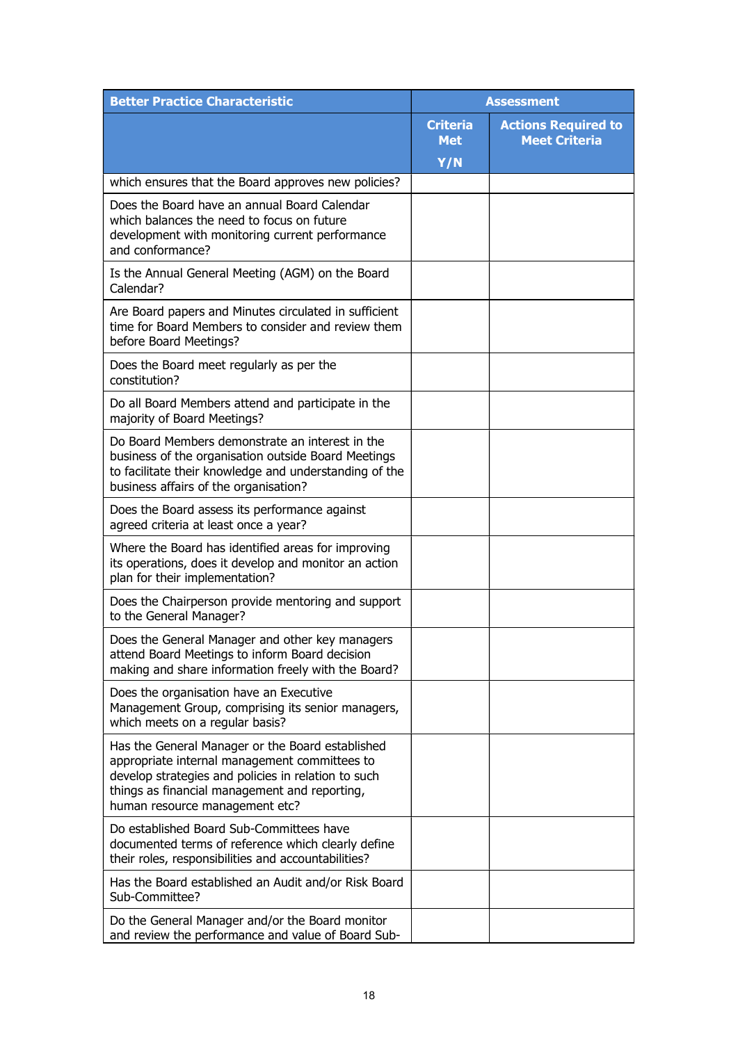| <b>Better Practice Characteristic</b>                                                                                                                                                                                                       | <b>Assessment</b>             |                                                    |
|---------------------------------------------------------------------------------------------------------------------------------------------------------------------------------------------------------------------------------------------|-------------------------------|----------------------------------------------------|
|                                                                                                                                                                                                                                             | <b>Criteria</b><br><b>Met</b> | <b>Actions Required to</b><br><b>Meet Criteria</b> |
|                                                                                                                                                                                                                                             | Y/N                           |                                                    |
| which ensures that the Board approves new policies?                                                                                                                                                                                         |                               |                                                    |
| Does the Board have an annual Board Calendar<br>which balances the need to focus on future<br>development with monitoring current performance<br>and conformance?                                                                           |                               |                                                    |
| Is the Annual General Meeting (AGM) on the Board<br>Calendar?                                                                                                                                                                               |                               |                                                    |
| Are Board papers and Minutes circulated in sufficient<br>time for Board Members to consider and review them<br>before Board Meetings?                                                                                                       |                               |                                                    |
| Does the Board meet regularly as per the<br>constitution?                                                                                                                                                                                   |                               |                                                    |
| Do all Board Members attend and participate in the<br>majority of Board Meetings?                                                                                                                                                           |                               |                                                    |
| Do Board Members demonstrate an interest in the<br>business of the organisation outside Board Meetings<br>to facilitate their knowledge and understanding of the<br>business affairs of the organisation?                                   |                               |                                                    |
| Does the Board assess its performance against<br>agreed criteria at least once a year?                                                                                                                                                      |                               |                                                    |
| Where the Board has identified areas for improving<br>its operations, does it develop and monitor an action<br>plan for their implementation?                                                                                               |                               |                                                    |
| Does the Chairperson provide mentoring and support<br>to the General Manager?                                                                                                                                                               |                               |                                                    |
| Does the General Manager and other key managers<br>attend Board Meetings to inform Board decision<br>making and share information freely with the Board?                                                                                    |                               |                                                    |
| Does the organisation have an Executive<br>Management Group, comprising its senior managers,<br>which meets on a regular basis?                                                                                                             |                               |                                                    |
| Has the General Manager or the Board established<br>appropriate internal management committees to<br>develop strategies and policies in relation to such<br>things as financial management and reporting,<br>human resource management etc? |                               |                                                    |
| Do established Board Sub-Committees have<br>documented terms of reference which clearly define<br>their roles, responsibilities and accountabilities?                                                                                       |                               |                                                    |
| Has the Board established an Audit and/or Risk Board<br>Sub-Committee?                                                                                                                                                                      |                               |                                                    |
| Do the General Manager and/or the Board monitor<br>and review the performance and value of Board Sub-                                                                                                                                       |                               |                                                    |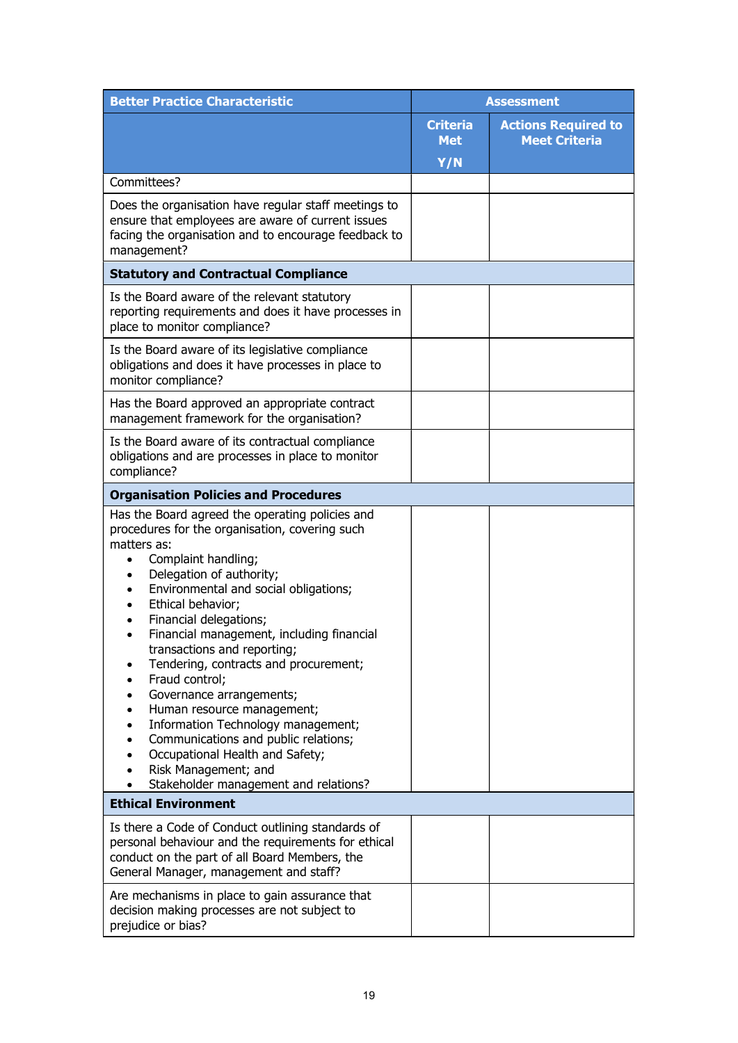| <b>Better Practice Characteristic</b>                                                                                                                                                                                                                                                                                                                                                                                                                                                                                                                                                                                                                                                                                                                                                 | <b>Assessment</b>             |                                                    |
|---------------------------------------------------------------------------------------------------------------------------------------------------------------------------------------------------------------------------------------------------------------------------------------------------------------------------------------------------------------------------------------------------------------------------------------------------------------------------------------------------------------------------------------------------------------------------------------------------------------------------------------------------------------------------------------------------------------------------------------------------------------------------------------|-------------------------------|----------------------------------------------------|
|                                                                                                                                                                                                                                                                                                                                                                                                                                                                                                                                                                                                                                                                                                                                                                                       | <b>Criteria</b><br><b>Met</b> | <b>Actions Required to</b><br><b>Meet Criteria</b> |
|                                                                                                                                                                                                                                                                                                                                                                                                                                                                                                                                                                                                                                                                                                                                                                                       | Y/N                           |                                                    |
| Committees?<br>Does the organisation have regular staff meetings to<br>ensure that employees are aware of current issues<br>facing the organisation and to encourage feedback to<br>management?                                                                                                                                                                                                                                                                                                                                                                                                                                                                                                                                                                                       |                               |                                                    |
| <b>Statutory and Contractual Compliance</b>                                                                                                                                                                                                                                                                                                                                                                                                                                                                                                                                                                                                                                                                                                                                           |                               |                                                    |
| Is the Board aware of the relevant statutory<br>reporting requirements and does it have processes in<br>place to monitor compliance?                                                                                                                                                                                                                                                                                                                                                                                                                                                                                                                                                                                                                                                  |                               |                                                    |
| Is the Board aware of its legislative compliance<br>obligations and does it have processes in place to<br>monitor compliance?                                                                                                                                                                                                                                                                                                                                                                                                                                                                                                                                                                                                                                                         |                               |                                                    |
| Has the Board approved an appropriate contract<br>management framework for the organisation?                                                                                                                                                                                                                                                                                                                                                                                                                                                                                                                                                                                                                                                                                          |                               |                                                    |
| Is the Board aware of its contractual compliance<br>obligations and are processes in place to monitor<br>compliance?                                                                                                                                                                                                                                                                                                                                                                                                                                                                                                                                                                                                                                                                  |                               |                                                    |
| <b>Organisation Policies and Procedures</b>                                                                                                                                                                                                                                                                                                                                                                                                                                                                                                                                                                                                                                                                                                                                           |                               |                                                    |
| Has the Board agreed the operating policies and<br>procedures for the organisation, covering such<br>matters as:<br>Complaint handling;<br>$\bullet$<br>Delegation of authority;<br>٠<br>Environmental and social obligations;<br>$\bullet$<br>Ethical behavior;<br>$\bullet$<br>Financial delegations;<br>$\bullet$<br>Financial management, including financial<br>$\bullet$<br>transactions and reporting;<br>Tendering, contracts and procurement;<br>Fraud control;<br>$\bullet$<br>Governance arrangements;<br>Human resource management;<br>$\bullet$<br>Information Technology management;<br>$\bullet$<br>Communications and public relations;<br>$\bullet$<br>Occupational Health and Safety;<br>$\bullet$<br>Risk Management; and<br>Stakeholder management and relations? |                               |                                                    |
| <b>Ethical Environment</b>                                                                                                                                                                                                                                                                                                                                                                                                                                                                                                                                                                                                                                                                                                                                                            |                               |                                                    |
| Is there a Code of Conduct outlining standards of<br>personal behaviour and the requirements for ethical<br>conduct on the part of all Board Members, the<br>General Manager, management and staff?                                                                                                                                                                                                                                                                                                                                                                                                                                                                                                                                                                                   |                               |                                                    |
| Are mechanisms in place to gain assurance that<br>decision making processes are not subject to<br>prejudice or bias?                                                                                                                                                                                                                                                                                                                                                                                                                                                                                                                                                                                                                                                                  |                               |                                                    |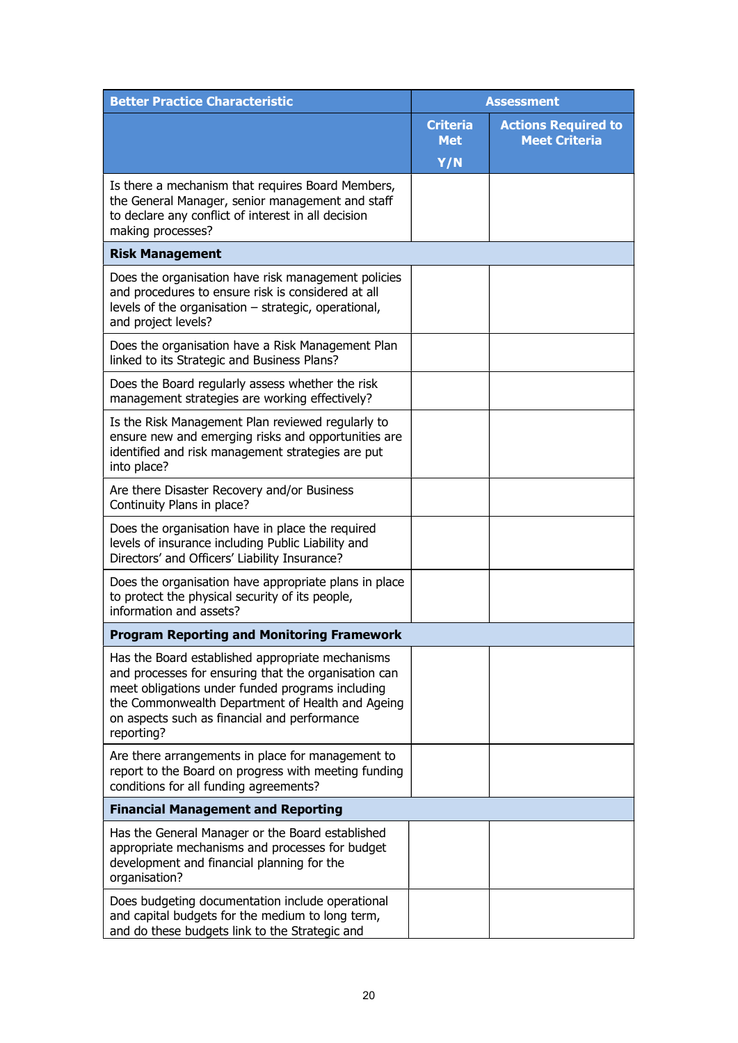| <b>Better Practice Characteristic</b>                                                                                                                                                                                                                                          | <b>Assessment</b>             |                                                    |
|--------------------------------------------------------------------------------------------------------------------------------------------------------------------------------------------------------------------------------------------------------------------------------|-------------------------------|----------------------------------------------------|
|                                                                                                                                                                                                                                                                                | <b>Criteria</b><br><b>Met</b> | <b>Actions Required to</b><br><b>Meet Criteria</b> |
|                                                                                                                                                                                                                                                                                | Y/N                           |                                                    |
| Is there a mechanism that requires Board Members,<br>the General Manager, senior management and staff<br>to declare any conflict of interest in all decision<br>making processes?                                                                                              |                               |                                                    |
| <b>Risk Management</b>                                                                                                                                                                                                                                                         |                               |                                                    |
| Does the organisation have risk management policies<br>and procedures to ensure risk is considered at all<br>levels of the organisation - strategic, operational,<br>and project levels?                                                                                       |                               |                                                    |
| Does the organisation have a Risk Management Plan<br>linked to its Strategic and Business Plans?                                                                                                                                                                               |                               |                                                    |
| Does the Board regularly assess whether the risk<br>management strategies are working effectively?                                                                                                                                                                             |                               |                                                    |
| Is the Risk Management Plan reviewed regularly to<br>ensure new and emerging risks and opportunities are<br>identified and risk management strategies are put<br>into place?                                                                                                   |                               |                                                    |
| Are there Disaster Recovery and/or Business<br>Continuity Plans in place?                                                                                                                                                                                                      |                               |                                                    |
| Does the organisation have in place the required<br>levels of insurance including Public Liability and<br>Directors' and Officers' Liability Insurance?                                                                                                                        |                               |                                                    |
| Does the organisation have appropriate plans in place<br>to protect the physical security of its people,<br>information and assets?                                                                                                                                            |                               |                                                    |
| <b>Program Reporting and Monitoring Framework</b>                                                                                                                                                                                                                              |                               |                                                    |
| Has the Board established appropriate mechanisms<br>and processes for ensuring that the organisation can<br>meet obligations under funded programs including<br>the Commonwealth Department of Health and Ageing<br>on aspects such as financial and performance<br>reporting? |                               |                                                    |
| Are there arrangements in place for management to<br>report to the Board on progress with meeting funding<br>conditions for all funding agreements?                                                                                                                            |                               |                                                    |
| <b>Financial Management and Reporting</b>                                                                                                                                                                                                                                      |                               |                                                    |
| Has the General Manager or the Board established<br>appropriate mechanisms and processes for budget<br>development and financial planning for the<br>organisation?                                                                                                             |                               |                                                    |
| Does budgeting documentation include operational<br>and capital budgets for the medium to long term,<br>and do these budgets link to the Strategic and                                                                                                                         |                               |                                                    |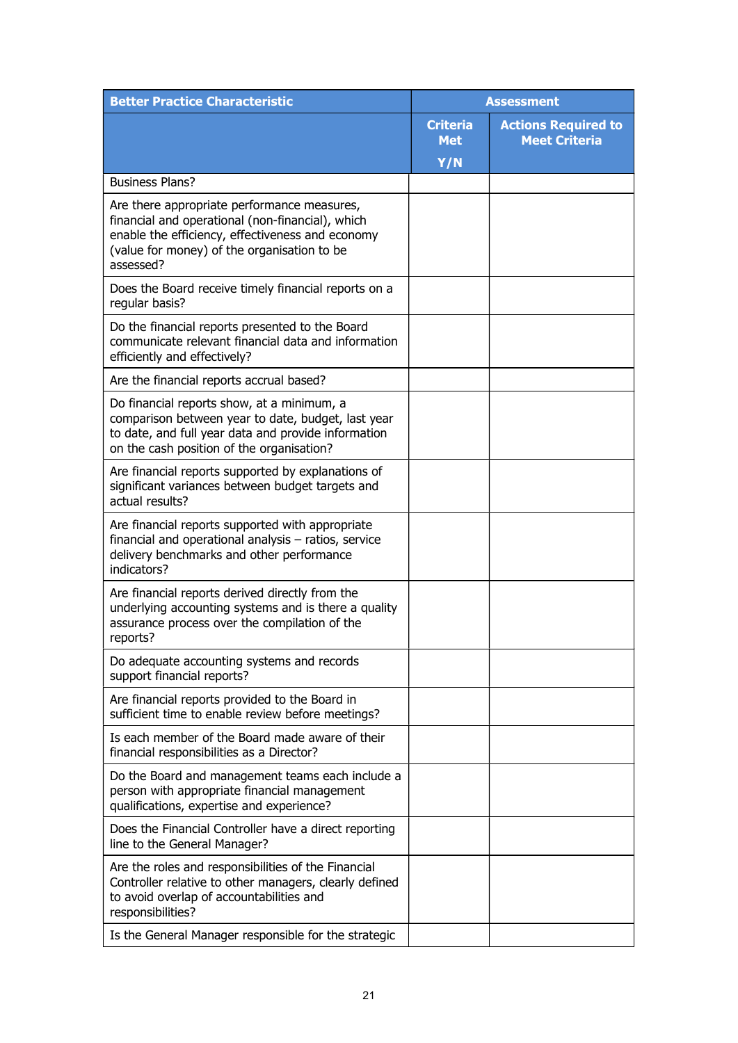| <b>Better Practice Characteristic</b>                                                                                                                                                                           | <b>Assessment</b>             |                                                    |
|-----------------------------------------------------------------------------------------------------------------------------------------------------------------------------------------------------------------|-------------------------------|----------------------------------------------------|
|                                                                                                                                                                                                                 | <b>Criteria</b><br><b>Met</b> | <b>Actions Required to</b><br><b>Meet Criteria</b> |
|                                                                                                                                                                                                                 | Y/N                           |                                                    |
| <b>Business Plans?</b>                                                                                                                                                                                          |                               |                                                    |
| Are there appropriate performance measures,<br>financial and operational (non-financial), which<br>enable the efficiency, effectiveness and economy<br>(value for money) of the organisation to be<br>assessed? |                               |                                                    |
| Does the Board receive timely financial reports on a<br>regular basis?                                                                                                                                          |                               |                                                    |
| Do the financial reports presented to the Board<br>communicate relevant financial data and information<br>efficiently and effectively?                                                                          |                               |                                                    |
| Are the financial reports accrual based?                                                                                                                                                                        |                               |                                                    |
| Do financial reports show, at a minimum, a<br>comparison between year to date, budget, last year<br>to date, and full year data and provide information<br>on the cash position of the organisation?            |                               |                                                    |
| Are financial reports supported by explanations of<br>significant variances between budget targets and<br>actual results?                                                                                       |                               |                                                    |
| Are financial reports supported with appropriate<br>financial and operational analysis - ratios, service<br>delivery benchmarks and other performance<br>indicators?                                            |                               |                                                    |
| Are financial reports derived directly from the<br>underlying accounting systems and is there a quality<br>assurance process over the compilation of the<br>reports?                                            |                               |                                                    |
| Do adequate accounting systems and records<br>support financial reports?                                                                                                                                        |                               |                                                    |
| Are financial reports provided to the Board in<br>sufficient time to enable review before meetings?                                                                                                             |                               |                                                    |
| Is each member of the Board made aware of their<br>financial responsibilities as a Director?                                                                                                                    |                               |                                                    |
| Do the Board and management teams each include a<br>person with appropriate financial management<br>qualifications, expertise and experience?                                                                   |                               |                                                    |
| Does the Financial Controller have a direct reporting<br>line to the General Manager?                                                                                                                           |                               |                                                    |
| Are the roles and responsibilities of the Financial<br>Controller relative to other managers, clearly defined<br>to avoid overlap of accountabilities and<br>responsibilities?                                  |                               |                                                    |
| Is the General Manager responsible for the strategic                                                                                                                                                            |                               |                                                    |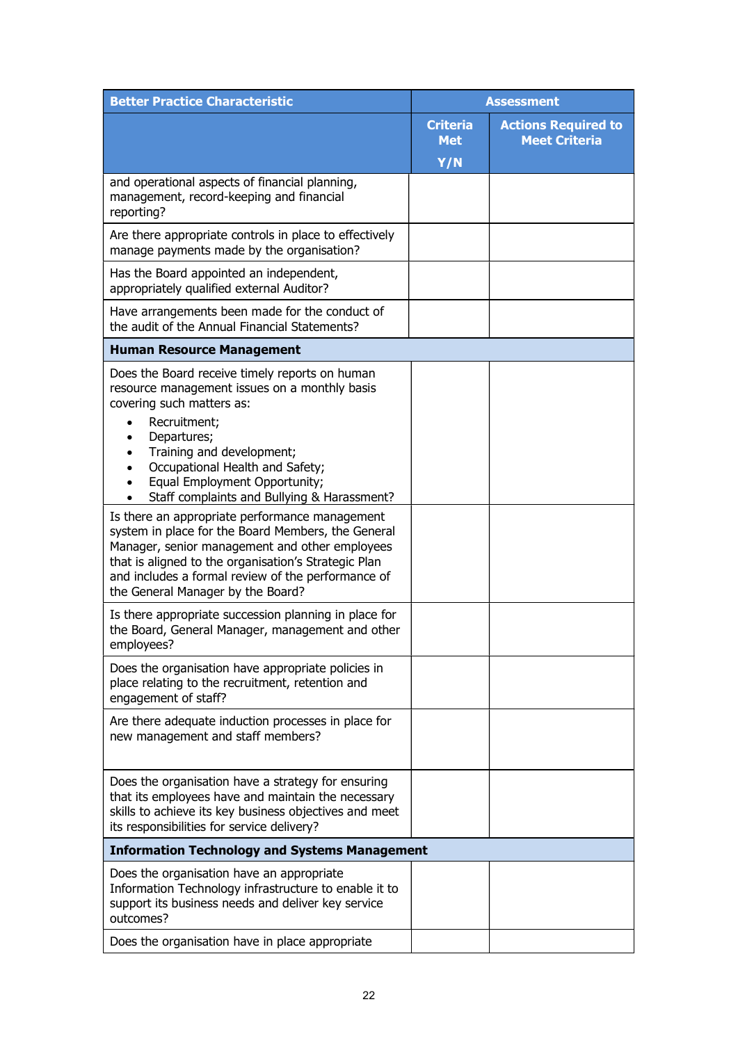| <b>Better Practice Characteristic</b>                                                                                                                                                                                                                                                                     | <b>Assessment</b>             |                                                    |
|-----------------------------------------------------------------------------------------------------------------------------------------------------------------------------------------------------------------------------------------------------------------------------------------------------------|-------------------------------|----------------------------------------------------|
|                                                                                                                                                                                                                                                                                                           | <b>Criteria</b><br><b>Met</b> | <b>Actions Required to</b><br><b>Meet Criteria</b> |
|                                                                                                                                                                                                                                                                                                           | Y/N                           |                                                    |
| and operational aspects of financial planning,<br>management, record-keeping and financial<br>reporting?                                                                                                                                                                                                  |                               |                                                    |
| Are there appropriate controls in place to effectively<br>manage payments made by the organisation?                                                                                                                                                                                                       |                               |                                                    |
| Has the Board appointed an independent,<br>appropriately qualified external Auditor?                                                                                                                                                                                                                      |                               |                                                    |
| Have arrangements been made for the conduct of<br>the audit of the Annual Financial Statements?                                                                                                                                                                                                           |                               |                                                    |
| <b>Human Resource Management</b>                                                                                                                                                                                                                                                                          |                               |                                                    |
| Does the Board receive timely reports on human<br>resource management issues on a monthly basis<br>covering such matters as:<br>Recruitment;<br>$\bullet$                                                                                                                                                 |                               |                                                    |
| Departures;<br>$\bullet$<br>Training and development;<br>$\bullet$<br>Occupational Health and Safety;<br>Equal Employment Opportunity;<br>Staff complaints and Bullying & Harassment?                                                                                                                     |                               |                                                    |
| Is there an appropriate performance management<br>system in place for the Board Members, the General<br>Manager, senior management and other employees<br>that is aligned to the organisation's Strategic Plan<br>and includes a formal review of the performance of<br>the General Manager by the Board? |                               |                                                    |
| Is there appropriate succession planning in place for<br>the Board, General Manager, management and other<br>employees?                                                                                                                                                                                   |                               |                                                    |
| Does the organisation have appropriate policies in<br>place relating to the recruitment, retention and<br>engagement of staff?                                                                                                                                                                            |                               |                                                    |
| Are there adequate induction processes in place for<br>new management and staff members?                                                                                                                                                                                                                  |                               |                                                    |
| Does the organisation have a strategy for ensuring<br>that its employees have and maintain the necessary<br>skills to achieve its key business objectives and meet<br>its responsibilities for service delivery?                                                                                          |                               |                                                    |
| <b>Information Technology and Systems Management</b>                                                                                                                                                                                                                                                      |                               |                                                    |
| Does the organisation have an appropriate<br>Information Technology infrastructure to enable it to<br>support its business needs and deliver key service<br>outcomes?                                                                                                                                     |                               |                                                    |
| Does the organisation have in place appropriate                                                                                                                                                                                                                                                           |                               |                                                    |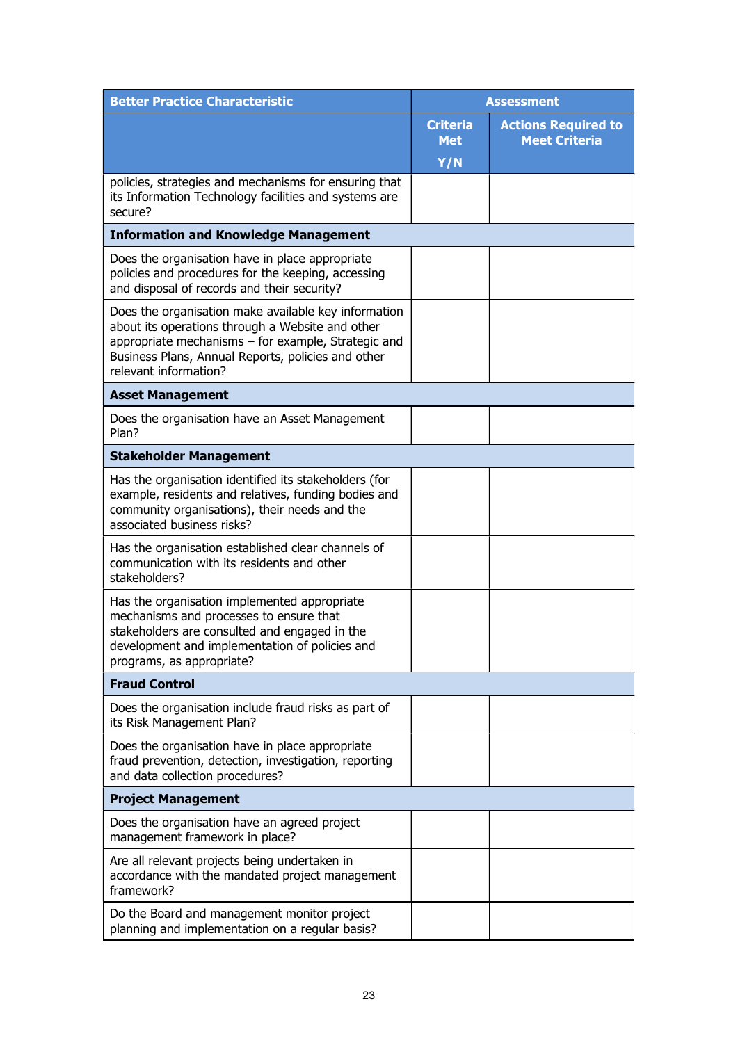| <b>Better Practice Characteristic</b>                                                                                                                                                                                                          | <b>Assessment</b>             |                                                    |
|------------------------------------------------------------------------------------------------------------------------------------------------------------------------------------------------------------------------------------------------|-------------------------------|----------------------------------------------------|
|                                                                                                                                                                                                                                                | <b>Criteria</b><br><b>Met</b> | <b>Actions Required to</b><br><b>Meet Criteria</b> |
|                                                                                                                                                                                                                                                | Y/N                           |                                                    |
| policies, strategies and mechanisms for ensuring that<br>its Information Technology facilities and systems are<br>secure?                                                                                                                      |                               |                                                    |
| <b>Information and Knowledge Management</b>                                                                                                                                                                                                    |                               |                                                    |
| Does the organisation have in place appropriate<br>policies and procedures for the keeping, accessing<br>and disposal of records and their security?                                                                                           |                               |                                                    |
| Does the organisation make available key information<br>about its operations through a Website and other<br>appropriate mechanisms - for example, Strategic and<br>Business Plans, Annual Reports, policies and other<br>relevant information? |                               |                                                    |
| <b>Asset Management</b>                                                                                                                                                                                                                        |                               |                                                    |
| Does the organisation have an Asset Management<br>Plan?                                                                                                                                                                                        |                               |                                                    |
| <b>Stakeholder Management</b>                                                                                                                                                                                                                  |                               |                                                    |
| Has the organisation identified its stakeholders (for<br>example, residents and relatives, funding bodies and<br>community organisations), their needs and the<br>associated business risks?                                                   |                               |                                                    |
| Has the organisation established clear channels of<br>communication with its residents and other<br>stakeholders?                                                                                                                              |                               |                                                    |
| Has the organisation implemented appropriate<br>mechanisms and processes to ensure that<br>stakeholders are consulted and engaged in the<br>development and implementation of policies and<br>programs, as appropriate?                        |                               |                                                    |
| <b>Fraud Control</b>                                                                                                                                                                                                                           |                               |                                                    |
| Does the organisation include fraud risks as part of<br>its Risk Management Plan?                                                                                                                                                              |                               |                                                    |
| Does the organisation have in place appropriate<br>fraud prevention, detection, investigation, reporting<br>and data collection procedures?                                                                                                    |                               |                                                    |
| <b>Project Management</b>                                                                                                                                                                                                                      |                               |                                                    |
| Does the organisation have an agreed project<br>management framework in place?                                                                                                                                                                 |                               |                                                    |
| Are all relevant projects being undertaken in<br>accordance with the mandated project management<br>framework?                                                                                                                                 |                               |                                                    |
| Do the Board and management monitor project<br>planning and implementation on a regular basis?                                                                                                                                                 |                               |                                                    |